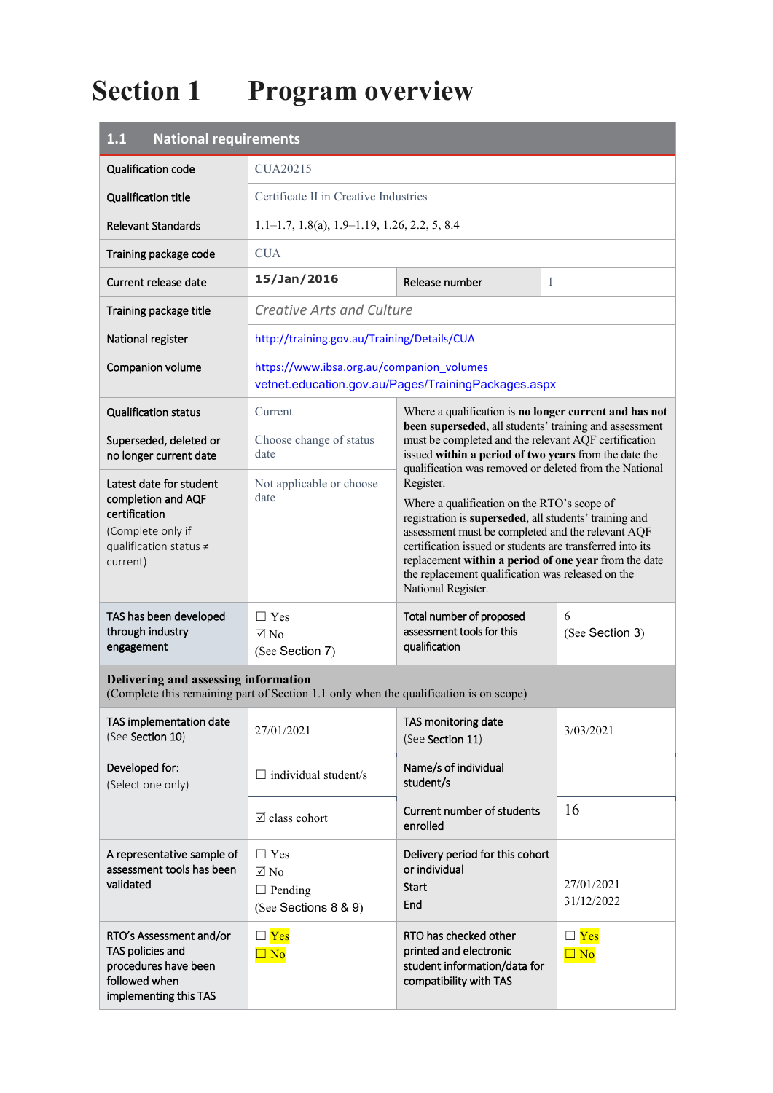# **Section 1 Program overview**

| <b>National requirements</b><br>1.1                                                                                       |                                                                                       |                                                                                                                                                                                                                                                                                                                                                                                                                                    |                          |
|---------------------------------------------------------------------------------------------------------------------------|---------------------------------------------------------------------------------------|------------------------------------------------------------------------------------------------------------------------------------------------------------------------------------------------------------------------------------------------------------------------------------------------------------------------------------------------------------------------------------------------------------------------------------|--------------------------|
| <b>Qualification code</b>                                                                                                 | <b>CUA20215</b>                                                                       |                                                                                                                                                                                                                                                                                                                                                                                                                                    |                          |
| <b>Qualification title</b>                                                                                                | Certificate II in Creative Industries                                                 |                                                                                                                                                                                                                                                                                                                                                                                                                                    |                          |
| Relevant Standards                                                                                                        | $1.1-1.7, 1.8(a), 1.9-1.19, 1.26, 2.2, 5, 8.4$                                        |                                                                                                                                                                                                                                                                                                                                                                                                                                    |                          |
| Training package code                                                                                                     | <b>CUA</b>                                                                            |                                                                                                                                                                                                                                                                                                                                                                                                                                    |                          |
| Current release date                                                                                                      | 15/Jan/2016                                                                           | Release number                                                                                                                                                                                                                                                                                                                                                                                                                     | 1                        |
| Training package title                                                                                                    | <b>Creative Arts and Culture</b>                                                      |                                                                                                                                                                                                                                                                                                                                                                                                                                    |                          |
| National register                                                                                                         | http://training.gov.au/Training/Details/CUA                                           |                                                                                                                                                                                                                                                                                                                                                                                                                                    |                          |
| Companion volume                                                                                                          | https://www.ibsa.org.au/companion_volumes                                             | vetnet.education.gov.au/Pages/TrainingPackages.aspx                                                                                                                                                                                                                                                                                                                                                                                |                          |
| <b>Qualification status</b>                                                                                               | Current                                                                               | Where a qualification is no longer current and has not<br>been superseded, all students' training and assessment                                                                                                                                                                                                                                                                                                                   |                          |
| Superseded, deleted or<br>no longer current date                                                                          | Choose change of status<br>date                                                       | must be completed and the relevant AQF certification<br>issued within a period of two years from the date the                                                                                                                                                                                                                                                                                                                      |                          |
| Latest date for student<br>completion and AQF<br>certification<br>(Complete only if<br>qualification status ≠<br>current) | Not applicable or choose<br>date                                                      | qualification was removed or deleted from the National<br>Register.<br>Where a qualification on the RTO's scope of<br>registration is superseded, all students' training and<br>assessment must be completed and the relevant AQF<br>certification issued or students are transferred into its<br>replacement within a period of one year from the date<br>the replacement qualification was released on the<br>National Register. |                          |
| TAS has been developed<br>through industry<br>engagement                                                                  | $\Box$ Yes<br>$\boxtimes$ No<br>(See Section 7)                                       | Total number of proposed<br>assessment tools for this<br>qualification                                                                                                                                                                                                                                                                                                                                                             | 6<br>(See Section 3)     |
| Delivering and assessing information                                                                                      | (Complete this remaining part of Section 1.1 only when the qualification is on scope) |                                                                                                                                                                                                                                                                                                                                                                                                                                    |                          |
| TAS implementation date<br>(See Section 10)                                                                               | 27/01/2021                                                                            | TAS monitoring date<br>(See Section 11)                                                                                                                                                                                                                                                                                                                                                                                            | 3/03/2021                |
| Developed for:<br>(Select one only)                                                                                       | $\Box$ individual student/s                                                           | Name/s of individual<br>student/s                                                                                                                                                                                                                                                                                                                                                                                                  |                          |
|                                                                                                                           | $\boxtimes$ class cohort                                                              | Current number of students<br>enrolled                                                                                                                                                                                                                                                                                                                                                                                             | 16                       |
| A representative sample of<br>assessment tools has been<br>validated                                                      | $\Box$ Yes<br>$\boxtimes$ No<br>$\Box$ Pending<br>(See Sections 8 & 9)                | Delivery period for this cohort<br>or individual<br><b>Start</b><br>End                                                                                                                                                                                                                                                                                                                                                            | 27/01/2021<br>31/12/2022 |
| RTO's Assessment and/or<br>TAS policies and<br>procedures have been<br>followed when<br>implementing this TAS             | $\square$ Yes<br>$\Box$ No                                                            | RTO has checked other<br>printed and electronic<br>student information/data for<br>compatibility with TAS                                                                                                                                                                                                                                                                                                                          | $\Box$ Yes<br>$\Box$ No  |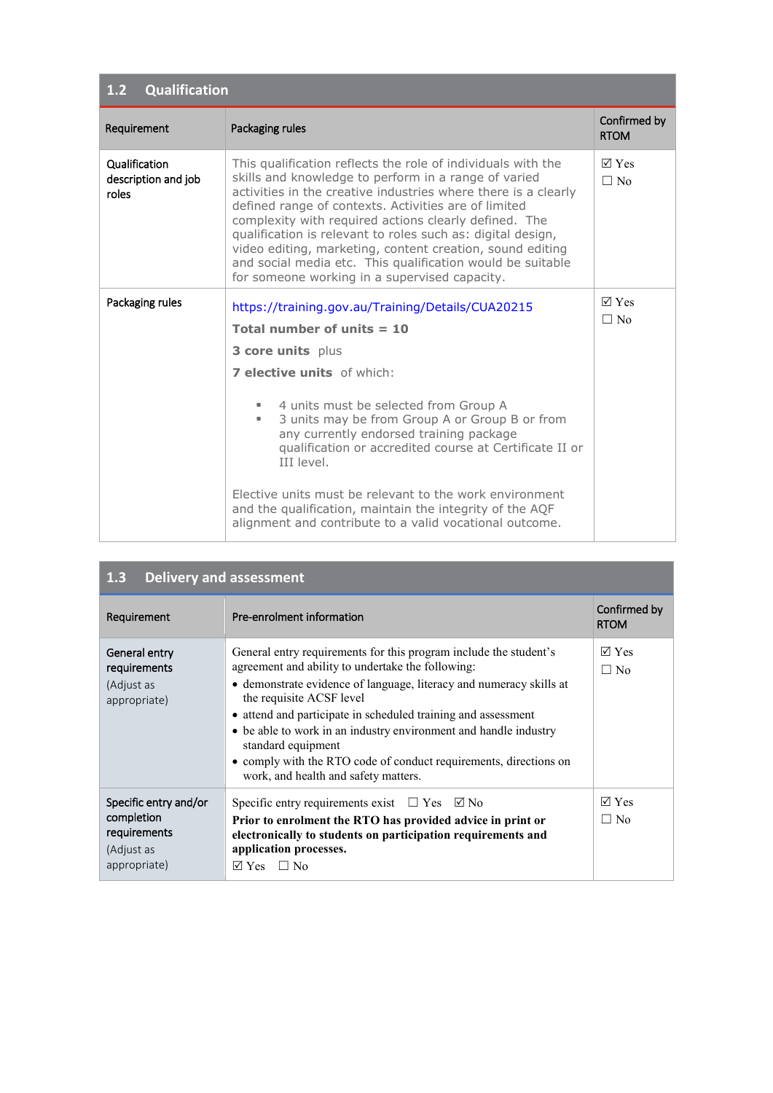| <b>Qualification</b><br>1.2                   |                                                                                                                                                                                                                                                                                                                                                                                                                                                                                                                                                    |                                         |  |
|-----------------------------------------------|----------------------------------------------------------------------------------------------------------------------------------------------------------------------------------------------------------------------------------------------------------------------------------------------------------------------------------------------------------------------------------------------------------------------------------------------------------------------------------------------------------------------------------------------------|-----------------------------------------|--|
| Requirement                                   | Packaging rules                                                                                                                                                                                                                                                                                                                                                                                                                                                                                                                                    | Confirmed by<br><b>RTOM</b>             |  |
| Qualification<br>description and job<br>roles | This qualification reflects the role of individuals with the<br>skills and knowledge to perform in a range of varied<br>activities in the creative industries where there is a clearly<br>defined range of contexts. Activities are of limited<br>complexity with required actions clearly defined. The<br>qualification is relevant to roles such as: digital design,<br>video editing, marketing, content creation, sound editing<br>and social media etc. This qualification would be suitable<br>for someone working in a supervised capacity. | $\nabla \times \mathbf{e}$<br>$\Box$ No |  |
| Packaging rules                               | https://training.gov.au/Training/Details/CUA20215                                                                                                                                                                                                                                                                                                                                                                                                                                                                                                  | $\nabla \times \mathbf{e}$              |  |
|                                               | Total number of units $= 10$                                                                                                                                                                                                                                                                                                                                                                                                                                                                                                                       | $\Box$ No                               |  |
|                                               | 3 core units plus                                                                                                                                                                                                                                                                                                                                                                                                                                                                                                                                  |                                         |  |
|                                               | <b>7 elective units</b> of which:                                                                                                                                                                                                                                                                                                                                                                                                                                                                                                                  |                                         |  |
|                                               | 4 units must be selected from Group A<br>3 units may be from Group A or Group B or from<br>ш<br>any currently endorsed training package<br>qualification or accredited course at Certificate II or<br>III level.                                                                                                                                                                                                                                                                                                                                   |                                         |  |
|                                               | Elective units must be relevant to the work environment<br>and the qualification, maintain the integrity of the AQF<br>alignment and contribute to a valid vocational outcome.                                                                                                                                                                                                                                                                                                                                                                     |                                         |  |

a sa mga bayang sa pag-ang pag-ang pag-ang pag-ang pag-ang pag-ang pag-ang pag-ang pag-ang pag-ang pag-ang pag

| <b>Delivery and assessment</b><br>1.3                                             |                                                                                                                                                                                                                                                                                                                                                                                                                                                                                                   |                              |  |
|-----------------------------------------------------------------------------------|---------------------------------------------------------------------------------------------------------------------------------------------------------------------------------------------------------------------------------------------------------------------------------------------------------------------------------------------------------------------------------------------------------------------------------------------------------------------------------------------------|------------------------------|--|
| Requirement                                                                       | Pre-enrolment information                                                                                                                                                                                                                                                                                                                                                                                                                                                                         | Confirmed by<br><b>RTOM</b>  |  |
| General entry<br>requirements<br>(Adjust as<br>appropriate)                       | General entry requirements for this program include the student's<br>agreement and ability to undertake the following:<br>• demonstrate evidence of language, literacy and numeracy skills at<br>the requisite ACSF level<br>• attend and participate in scheduled training and assessment<br>• be able to work in an industry environment and handle industry<br>standard equipment<br>• comply with the RTO code of conduct requirements, directions on<br>work, and health and safety matters. | $\nabla$ Yes<br>$\Box$ No    |  |
| Specific entry and/or<br>completion<br>requirements<br>(Adjust as<br>appropriate) | Specific entry requirements exist $\Box$ Yes $\Box$ No<br>Prior to enrolment the RTO has provided advice in print or<br>electronically to students on participation requirements and<br>application processes.<br><b>Yes</b><br>$\Box$ No<br>⊠                                                                                                                                                                                                                                                    | $\boxtimes$ Yes<br>$\Box$ No |  |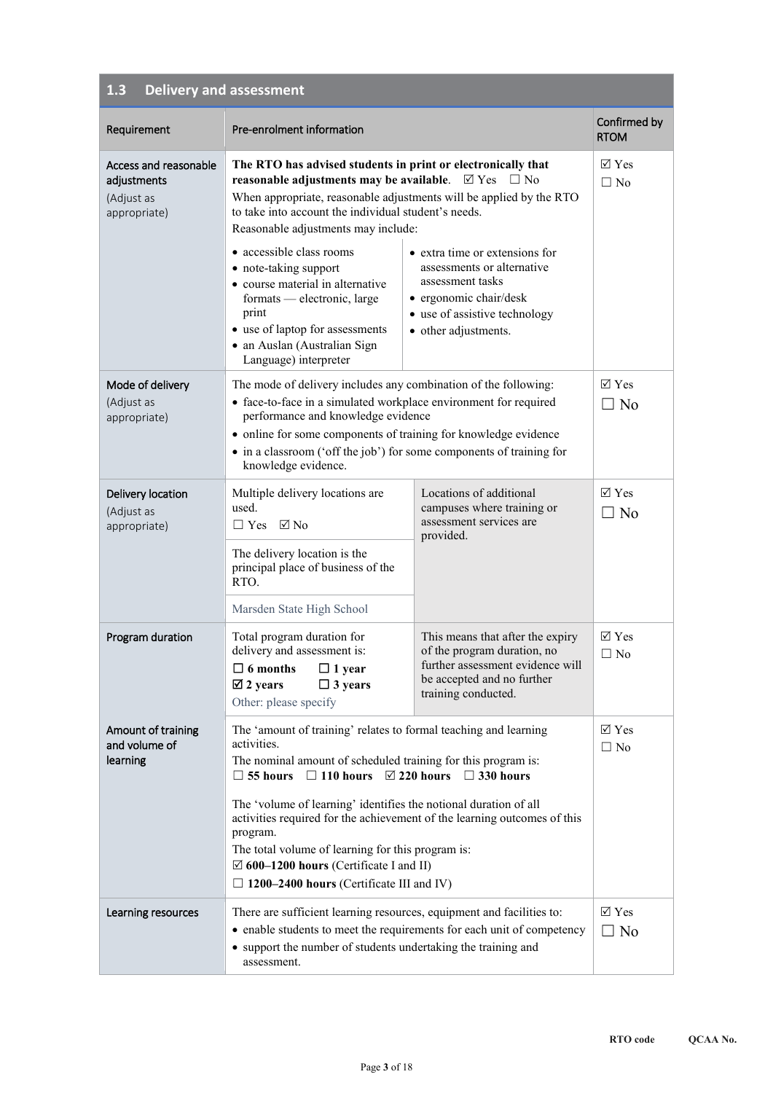| 1.3 | Delivery and assessment |
|-----|-------------------------|
|-----|-------------------------|

| Requirement                                                        | Pre-enrolment information                                                                                                                                                                                                                                                                                                                                                                                                                          |                                                                                                                                                                                                         | Confirmed by<br><b>RTOM</b>         |
|--------------------------------------------------------------------|----------------------------------------------------------------------------------------------------------------------------------------------------------------------------------------------------------------------------------------------------------------------------------------------------------------------------------------------------------------------------------------------------------------------------------------------------|---------------------------------------------------------------------------------------------------------------------------------------------------------------------------------------------------------|-------------------------------------|
| Access and reasonable<br>adjustments<br>(Adjust as<br>appropriate) | The RTO has advised students in print or electronically that<br>reasonable adjustments may be available.<br>When appropriate, reasonable adjustments will be applied by the RTO<br>to take into account the individual student's needs.<br>Reasonable adjustments may include:<br>• accessible class rooms<br>• note-taking support<br>• course material in alternative<br>formats — electronic, large<br>print<br>• use of laptop for assessments | $\triangledown$ Yes<br>$\Box$ No<br>• extra time or extensions for<br>assessments or alternative<br>assessment tasks<br>· ergonomic chair/desk<br>• use of assistive technology<br>• other adjustments. | $\boxtimes$ Yes<br>$\Box$ No        |
|                                                                    | · an Auslan (Australian Sign<br>Language) interpreter                                                                                                                                                                                                                                                                                                                                                                                              |                                                                                                                                                                                                         |                                     |
| Mode of delivery<br>(Adjust as<br>appropriate)                     | The mode of delivery includes any combination of the following:<br>• face-to-face in a simulated workplace environment for required<br>performance and knowledge evidence<br>• online for some components of training for knowledge evidence<br>• in a classroom ('off the job') for some components of training for<br>knowledge evidence.                                                                                                        |                                                                                                                                                                                                         | $\boxtimes$ Yes<br>$\overline{N}$   |
| Delivery location<br>(Adjust as<br>appropriate)                    | Multiple delivery locations are<br>used.<br>$\Box$ Yes $\Box$ No                                                                                                                                                                                                                                                                                                                                                                                   | Locations of additional<br>campuses where training or<br>assessment services are<br>provided.                                                                                                           | $\triangledown$ Yes<br>$\square$ No |
|                                                                    | The delivery location is the<br>principal place of business of the<br>RTO.                                                                                                                                                                                                                                                                                                                                                                         |                                                                                                                                                                                                         |                                     |
|                                                                    | Marsden State High School                                                                                                                                                                                                                                                                                                                                                                                                                          |                                                                                                                                                                                                         |                                     |
| Program duration                                                   | Total program duration for<br>delivery and assessment is:<br>$\Box$ 6 months<br>$\Box$ 1 year<br>$\boxtimes$ 2 years<br>$\Box$ 3 years<br>Other: please specify                                                                                                                                                                                                                                                                                    | This means that after the expiry<br>of the program duration, no<br>further assessment evidence will<br>be accepted and no further<br>training conducted.                                                | $\boxtimes$ Yes<br>$\Box$ No        |
| Amount of training<br>and volume of<br>learning                    | The 'amount of training' relates to formal teaching and learning<br>activities.<br>The nominal amount of scheduled training for this program is:<br>$\Box$ 55 hours $\Box$ 110 hours $\Box$ 220 hours $\Box$ 330 hours                                                                                                                                                                                                                             |                                                                                                                                                                                                         | $\boxtimes$ Yes<br>$\Box$ No        |
|                                                                    | The 'volume of learning' identifies the notional duration of all<br>activities required for the achievement of the learning outcomes of this<br>program.<br>The total volume of learning for this program is:<br>$\boxtimes$ 600–1200 hours (Certificate I and II)<br>$\Box$ 1200–2400 hours (Certificate III and IV)                                                                                                                              |                                                                                                                                                                                                         |                                     |
| Learning resources                                                 | There are sufficient learning resources, equipment and facilities to:<br>• enable students to meet the requirements for each unit of competency<br>• support the number of students undertaking the training and<br>assessment.                                                                                                                                                                                                                    |                                                                                                                                                                                                         | $\boxtimes$ Yes<br>$\overline{N_0}$ |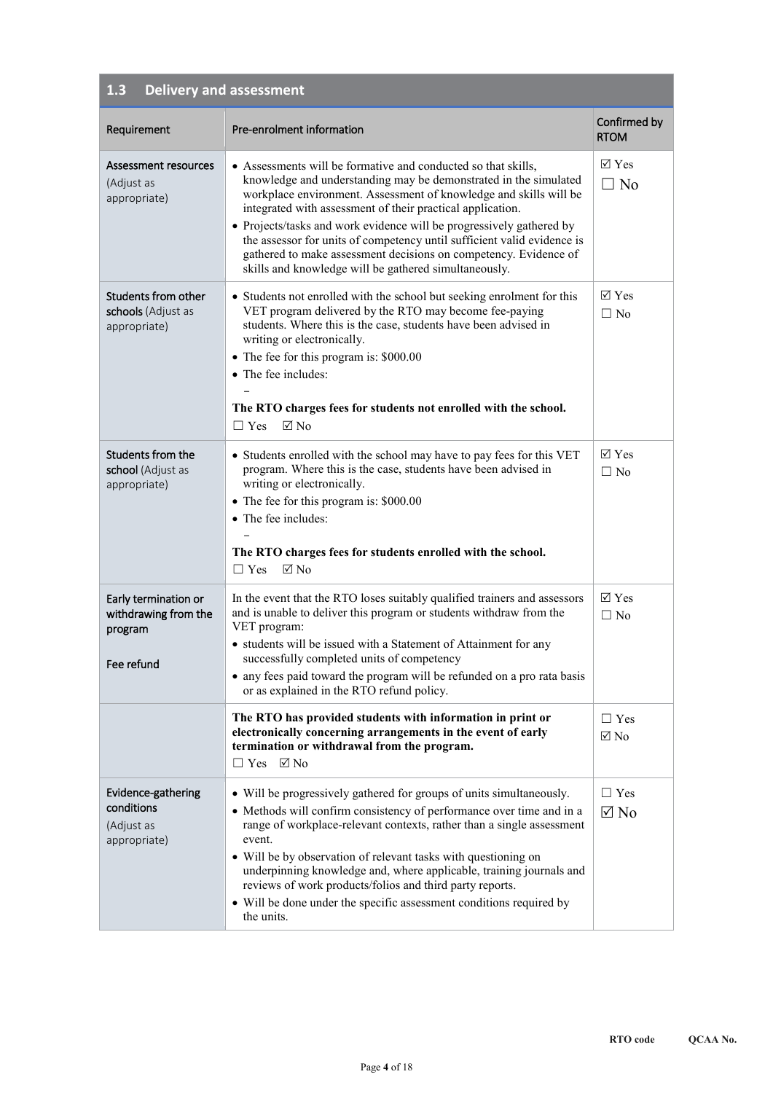| <b>Delivery and assessment</b><br>1.3                                 |                                                                                                                                                                                                                                                                                                                                                                                                                                                                                                                                                      |                              |  |
|-----------------------------------------------------------------------|------------------------------------------------------------------------------------------------------------------------------------------------------------------------------------------------------------------------------------------------------------------------------------------------------------------------------------------------------------------------------------------------------------------------------------------------------------------------------------------------------------------------------------------------------|------------------------------|--|
| Requirement                                                           | Pre-enrolment information                                                                                                                                                                                                                                                                                                                                                                                                                                                                                                                            | Confirmed by<br><b>RTOM</b>  |  |
| Assessment resources<br>(Adjust as<br>appropriate)                    | • Assessments will be formative and conducted so that skills,<br>knowledge and understanding may be demonstrated in the simulated<br>workplace environment. Assessment of knowledge and skills will be<br>integrated with assessment of their practical application.<br>• Projects/tasks and work evidence will be progressively gathered by<br>the assessor for units of competency until sufficient valid evidence is<br>gathered to make assessment decisions on competency. Evidence of<br>skills and knowledge will be gathered simultaneously. | $\boxtimes$ Yes<br>$\Box$ No |  |
| Students from other<br>schools (Adjust as<br>appropriate)             | • Students not enrolled with the school but seeking enrolment for this<br>VET program delivered by the RTO may become fee-paying<br>students. Where this is the case, students have been advised in<br>writing or electronically.<br>• The fee for this program is: \$000.00<br>• The fee includes:<br>The RTO charges fees for students not enrolled with the school.<br>$\boxtimes$ No<br>$\Box$ Yes                                                                                                                                               | $\boxtimes$ Yes<br>$\Box$ No |  |
| Students from the<br>school (Adjust as<br>appropriate)                | • Students enrolled with the school may have to pay fees for this VET<br>program. Where this is the case, students have been advised in<br>writing or electronically.<br>• The fee for this program is: \$000.00<br>• The fee includes:<br>The RTO charges fees for students enrolled with the school.<br>$\nabla$ No<br>$\Box$ Yes                                                                                                                                                                                                                  | $\boxtimes$ Yes<br>$\Box$ No |  |
| Early termination or<br>withdrawing from the<br>program<br>Fee refund | In the event that the RTO loses suitably qualified trainers and assessors<br>and is unable to deliver this program or students withdraw from the<br>VET program:<br>• students will be issued with a Statement of Attainment for any<br>successfully completed units of competency<br>• any fees paid toward the program will be refunded on a pro rata basis<br>or as explained in the RTO refund policy.                                                                                                                                           | $\boxtimes$ Yes<br>$\Box$ No |  |
|                                                                       | The RTO has provided students with information in print or<br>electronically concerning arrangements in the event of early<br>termination or withdrawal from the program.<br>$\Box$ Yes $\Box$ No                                                                                                                                                                                                                                                                                                                                                    | $\Box$ Yes<br>$\boxtimes$ No |  |
| Evidence-gathering<br>conditions<br>(Adjust as<br>appropriate)        | • Will be progressively gathered for groups of units simultaneously.<br>• Methods will confirm consistency of performance over time and in a<br>range of workplace-relevant contexts, rather than a single assessment<br>event.<br>• Will be by observation of relevant tasks with questioning on<br>underpinning knowledge and, where applicable, training journals and<br>reviews of work products/folios and third party reports.<br>• Will be done under the specific assessment conditions required by<br>the units.                            | $\Box$ Yes<br>$\boxtimes$ No |  |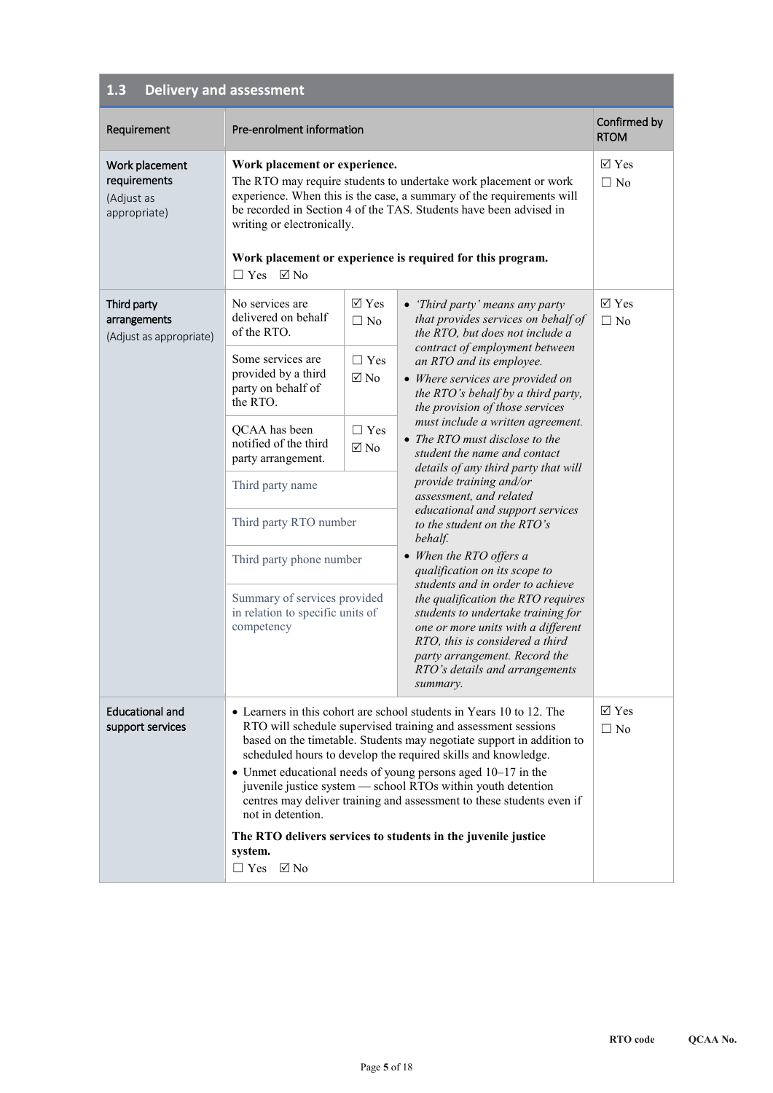| 1.3<br><b>Delivery and assessment</b>                        |                                                                                                                                                                                                                                                                                                                                                                                                                                                                                                                 |                                                    |                                                                                                                                                                                                                                                                                                                                                                                                                                     |                              |
|--------------------------------------------------------------|-----------------------------------------------------------------------------------------------------------------------------------------------------------------------------------------------------------------------------------------------------------------------------------------------------------------------------------------------------------------------------------------------------------------------------------------------------------------------------------------------------------------|----------------------------------------------------|-------------------------------------------------------------------------------------------------------------------------------------------------------------------------------------------------------------------------------------------------------------------------------------------------------------------------------------------------------------------------------------------------------------------------------------|------------------------------|
| Requirement                                                  | Pre-enrolment information                                                                                                                                                                                                                                                                                                                                                                                                                                                                                       |                                                    |                                                                                                                                                                                                                                                                                                                                                                                                                                     | Confirmed by<br><b>RTOM</b>  |
| Work placement<br>requirements<br>(Adjust as<br>appropriate) | Work placement or experience.<br>The RTO may require students to undertake work placement or work<br>experience. When this is the case, a summary of the requirements will<br>be recorded in Section 4 of the TAS. Students have been advised in<br>writing or electronically.<br>Work placement or experience is required for this program.<br>$\Box$ Yes $\Box$ No                                                                                                                                            |                                                    | $\boxtimes$ Yes<br>$\Box$ No                                                                                                                                                                                                                                                                                                                                                                                                        |                              |
| Third party<br>arrangements<br>(Adjust as appropriate)       | No services are<br>delivered on behalf<br>of the RTO.                                                                                                                                                                                                                                                                                                                                                                                                                                                           | $\overline{\vee}$ Yes<br>$\Box$ No                 | • 'Third party' means any party<br>that provides services on behalf of<br>the RTO, but does not include a<br>contract of employment between<br>an RTO and its employee.<br>• Where services are provided on<br>the RTO's behalf by a third party,<br>the provision of those services<br>must include a written agreement.<br>• The RTO must disclose to the<br>student the name and contact<br>details of any third party that will | $\boxtimes$ Yes<br>$\Box$ No |
|                                                              | Some services are<br>provided by a third<br>party on behalf of<br>the RTO.                                                                                                                                                                                                                                                                                                                                                                                                                                      | $\Box$ Yes<br>$\boxtimes$ No                       |                                                                                                                                                                                                                                                                                                                                                                                                                                     |                              |
|                                                              | QCAA has been<br>notified of the third<br>party arrangement.                                                                                                                                                                                                                                                                                                                                                                                                                                                    | $\Box$ Yes<br>$\boxtimes$ No                       |                                                                                                                                                                                                                                                                                                                                                                                                                                     |                              |
|                                                              | Third party name                                                                                                                                                                                                                                                                                                                                                                                                                                                                                                | provide training and/or<br>assessment, and related |                                                                                                                                                                                                                                                                                                                                                                                                                                     |                              |
|                                                              | Third party RTO number                                                                                                                                                                                                                                                                                                                                                                                                                                                                                          |                                                    | educational and support services<br>to the student on the RTO's<br>behalf.                                                                                                                                                                                                                                                                                                                                                          |                              |
|                                                              | Third party phone number                                                                                                                                                                                                                                                                                                                                                                                                                                                                                        |                                                    | • When the RTO offers a<br>qualification on its scope to                                                                                                                                                                                                                                                                                                                                                                            |                              |
|                                                              | Summary of services provided<br>in relation to specific units of<br>competency                                                                                                                                                                                                                                                                                                                                                                                                                                  |                                                    | students and in order to achieve<br>the qualification the RTO requires<br>students to undertake training for<br>one or more units with a different<br>RTO, this is considered a third<br>party arrangement. Record the<br>RTO's details and arrangements<br>summary.                                                                                                                                                                |                              |
| <b>Educational and</b><br>support services                   | • Learners in this cohort are school students in Years 10 to 12. The<br>RTO will schedule supervised training and assessment sessions<br>based on the timetable. Students may negotiate support in addition to<br>scheduled hours to develop the required skills and knowledge.<br>• Unmet educational needs of young persons aged $10-17$ in the<br>juvenile justice system - school RTOs within youth detention<br>centres may deliver training and assessment to these students even if<br>not in detention. |                                                    |                                                                                                                                                                                                                                                                                                                                                                                                                                     | $\boxtimes$ Yes<br>$\Box$ No |
|                                                              | The RTO delivers services to students in the juvenile justice<br>system.<br>$\Box$ Yes $\Box$ No                                                                                                                                                                                                                                                                                                                                                                                                                |                                                    |                                                                                                                                                                                                                                                                                                                                                                                                                                     |                              |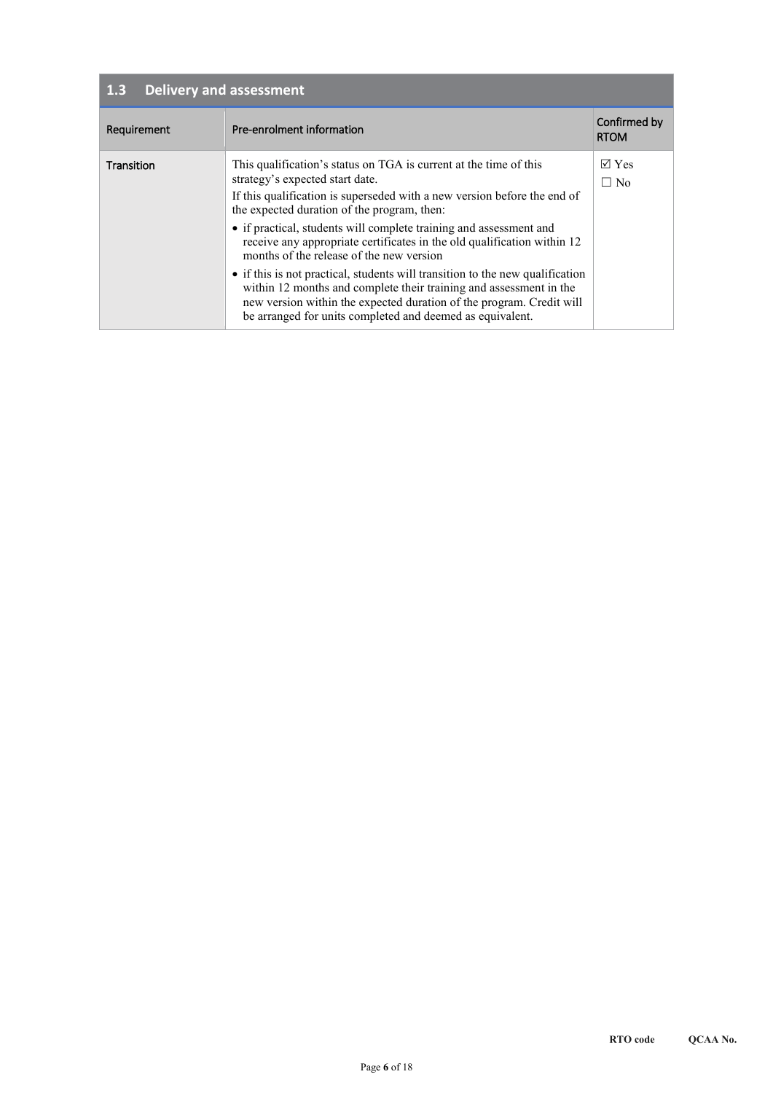| Delivery and assessment<br>1.3 |                                                                                                                                                                                                                                                                                                                                                                                                                                                                                                                                                                                                                                                                                                                          |                                         |  |  |
|--------------------------------|--------------------------------------------------------------------------------------------------------------------------------------------------------------------------------------------------------------------------------------------------------------------------------------------------------------------------------------------------------------------------------------------------------------------------------------------------------------------------------------------------------------------------------------------------------------------------------------------------------------------------------------------------------------------------------------------------------------------------|-----------------------------------------|--|--|
| Requirement                    | Pre-enrolment information                                                                                                                                                                                                                                                                                                                                                                                                                                                                                                                                                                                                                                                                                                | Confirmed by<br><b>RTOM</b>             |  |  |
| Transition                     | This qualification's status on TGA is current at the time of this<br>strategy's expected start date.<br>If this qualification is superseded with a new version before the end of<br>the expected duration of the program, then:<br>• if practical, students will complete training and assessment and<br>receive any appropriate certificates in the old qualification within 12<br>months of the release of the new version<br>• if this is not practical, students will transition to the new qualification<br>within 12 months and complete their training and assessment in the<br>new version within the expected duration of the program. Credit will<br>be arranged for units completed and deemed as equivalent. | $\nabla \times \mathbf{e}$<br>$\Box$ No |  |  |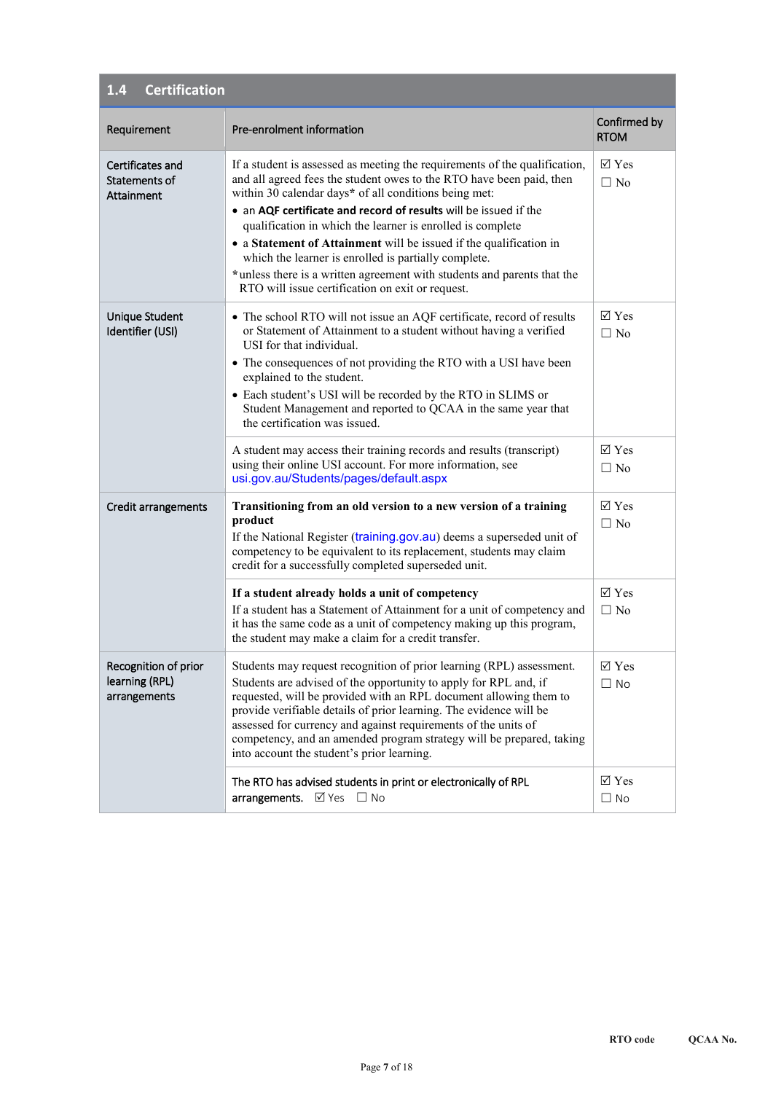| <b>Certification</b><br>1.4                            |                                                                                                                                                                                                                                                                                                                                                                                                                                                                                                                                                                                                            |                                     |  |
|--------------------------------------------------------|------------------------------------------------------------------------------------------------------------------------------------------------------------------------------------------------------------------------------------------------------------------------------------------------------------------------------------------------------------------------------------------------------------------------------------------------------------------------------------------------------------------------------------------------------------------------------------------------------------|-------------------------------------|--|
| Requirement                                            | Pre-enrolment information                                                                                                                                                                                                                                                                                                                                                                                                                                                                                                                                                                                  | Confirmed by<br><b>RTOM</b>         |  |
| Certificates and<br>Statements of<br>Attainment        | If a student is assessed as meeting the requirements of the qualification,<br>and all agreed fees the student owes to the RTO have been paid, then<br>within 30 calendar days* of all conditions being met:<br>• an AQF certificate and record of results will be issued if the<br>qualification in which the learner is enrolled is complete<br>• a Statement of Attainment will be issued if the qualification in<br>which the learner is enrolled is partially complete.<br>*unless there is a written agreement with students and parents that the<br>RTO will issue certification on exit or request. | $\boxtimes$ Yes<br>$\Box$ No        |  |
| Unique Student<br>Identifier (USI)                     | • The school RTO will not issue an AQF certificate, record of results<br>or Statement of Attainment to a student without having a verified<br>USI for that individual.<br>• The consequences of not providing the RTO with a USI have been<br>explained to the student.<br>• Each student's USI will be recorded by the RTO in SLIMS or<br>Student Management and reported to QCAA in the same year that<br>the certification was issued.                                                                                                                                                                  | $\nabla$ Yes<br>$\Box$ No           |  |
|                                                        | A student may access their training records and results (transcript)<br>using their online USI account. For more information, see<br>usi.gov.au/Students/pages/default.aspx                                                                                                                                                                                                                                                                                                                                                                                                                                | $\overline{\vee}$ Yes<br>$\Box$ No  |  |
| Credit arrangements                                    | Transitioning from an old version to a new version of a training<br>product<br>If the National Register (training.gov.au) deems a superseded unit of<br>competency to be equivalent to its replacement, students may claim<br>credit for a successfully completed superseded unit.                                                                                                                                                                                                                                                                                                                         | $\nabla \mathbf{Y}$ es<br>$\Box$ No |  |
|                                                        | If a student already holds a unit of competency<br>If a student has a Statement of Attainment for a unit of competency and<br>it has the same code as a unit of competency making up this program,<br>the student may make a claim for a credit transfer.                                                                                                                                                                                                                                                                                                                                                  | $\overline{\vee}$ Yes<br>$\Box$ No  |  |
| Recognition of prior<br>learning (RPL)<br>arrangements | Students may request recognition of prior learning (RPL) assessment.<br>Students are advised of the opportunity to apply for RPL and, if<br>requested, will be provided with an RPL document allowing them to<br>provide verifiable details of prior learning. The evidence will be<br>assessed for currency and against requirements of the units of<br>competency, and an amended program strategy will be prepared, taking<br>into account the student's prior learning.                                                                                                                                | $\boxtimes$ Yes<br>$\Box$ No        |  |
|                                                        | The RTO has advised students in print or electronically of RPL<br>arrangements. Ø Yes □ No                                                                                                                                                                                                                                                                                                                                                                                                                                                                                                                 | $\triangledown$ Yes<br>$\Box$ No    |  |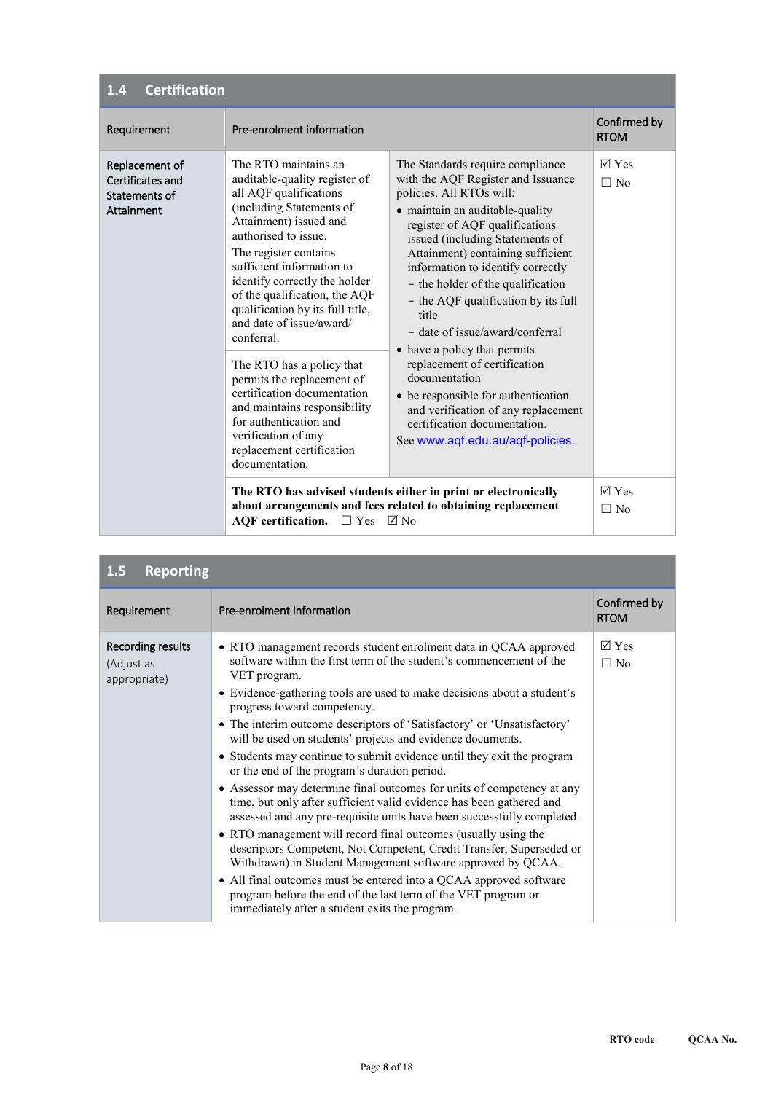| <b>Certification</b><br>1.4                                       |                                                                                                                                                                                                                                                                                                                                                                                                                                                                                                                                                                                               |                                                                                                                                                                                                                                                                                                                                                                                                                                                                                                                                                                                                                                                 |                                  |
|-------------------------------------------------------------------|-----------------------------------------------------------------------------------------------------------------------------------------------------------------------------------------------------------------------------------------------------------------------------------------------------------------------------------------------------------------------------------------------------------------------------------------------------------------------------------------------------------------------------------------------------------------------------------------------|-------------------------------------------------------------------------------------------------------------------------------------------------------------------------------------------------------------------------------------------------------------------------------------------------------------------------------------------------------------------------------------------------------------------------------------------------------------------------------------------------------------------------------------------------------------------------------------------------------------------------------------------------|----------------------------------|
| Requirement                                                       | Pre-enrolment information                                                                                                                                                                                                                                                                                                                                                                                                                                                                                                                                                                     |                                                                                                                                                                                                                                                                                                                                                                                                                                                                                                                                                                                                                                                 | Confirmed by<br><b>RTOM</b>      |
| Replacement of<br>Certificates and<br>Statements of<br>Attainment | The RTO maintains an<br>auditable-quality register of<br>all AQF qualifications<br>(including Statements of<br>Attainment) issued and<br>authorised to issue.<br>The register contains<br>sufficient information to<br>identify correctly the holder<br>of the qualification, the AQF<br>qualification by its full title,<br>and date of issue/award/<br>conferral.<br>The RTO has a policy that<br>permits the replacement of<br>certification documentation<br>and maintains responsibility<br>for authentication and<br>verification of any<br>replacement certification<br>documentation. | The Standards require compliance<br>with the AQF Register and Issuance<br>policies. All RTOs will:<br>• maintain an auditable-quality<br>register of AQF qualifications<br>issued (including Statements of<br>Attainment) containing sufficient<br>information to identify correctly<br>- the holder of the qualification<br>- the AQF qualification by its full<br>title<br>- date of issue/award/conferral<br>• have a policy that permits<br>replacement of certification<br>documentation<br>• be responsible for authentication<br>and verification of any replacement<br>certification documentation.<br>See www.aqf.edu.au/aqf-policies. | $\sqrt{ }$ Yes<br>$\Box$ No      |
|                                                                   | <b>AQF</b> certification.<br>$\Box$ Yes                                                                                                                                                                                                                                                                                                                                                                                                                                                                                                                                                       | The RTO has advised students either in print or electronically<br>about arrangements and fees related to obtaining replacement<br>$\nabla$ No                                                                                                                                                                                                                                                                                                                                                                                                                                                                                                   | $\triangledown$ Yes<br>$\Box$ No |

| 1.5<br><b>Reporting</b>                         |                                                                                                                                                                                                                                                                                                                                                                                                                                                                                                                                                                                                                                                                                                                                                                                                                                                                                                                                                                                                                                                                                                                                                                    |                              |
|-------------------------------------------------|--------------------------------------------------------------------------------------------------------------------------------------------------------------------------------------------------------------------------------------------------------------------------------------------------------------------------------------------------------------------------------------------------------------------------------------------------------------------------------------------------------------------------------------------------------------------------------------------------------------------------------------------------------------------------------------------------------------------------------------------------------------------------------------------------------------------------------------------------------------------------------------------------------------------------------------------------------------------------------------------------------------------------------------------------------------------------------------------------------------------------------------------------------------------|------------------------------|
| Requirement                                     | Pre-enrolment information                                                                                                                                                                                                                                                                                                                                                                                                                                                                                                                                                                                                                                                                                                                                                                                                                                                                                                                                                                                                                                                                                                                                          | Confirmed by<br><b>RTOM</b>  |
| Recording results<br>(Adjust as<br>appropriate) | • RTO management records student enrolment data in QCAA approved<br>software within the first term of the student's commencement of the<br>VET program.<br>• Evidence-gathering tools are used to make decisions about a student's<br>progress toward competency.<br>• The interim outcome descriptors of 'Satisfactory' or 'Unsatisfactory'<br>will be used on students' projects and evidence documents.<br>• Students may continue to submit evidence until they exit the program<br>or the end of the program's duration period.<br>• Assessor may determine final outcomes for units of competency at any<br>time, but only after sufficient valid evidence has been gathered and<br>assessed and any pre-requisite units have been successfully completed.<br>• RTO management will record final outcomes (usually using the<br>descriptors Competent, Not Competent, Credit Transfer, Superseded or<br>Withdrawn) in Student Management software approved by QCAA.<br>• All final outcomes must be entered into a QCAA approved software<br>program before the end of the last term of the VET program or<br>immediately after a student exits the program. | $\boxtimes$ Yes<br>$\Box$ No |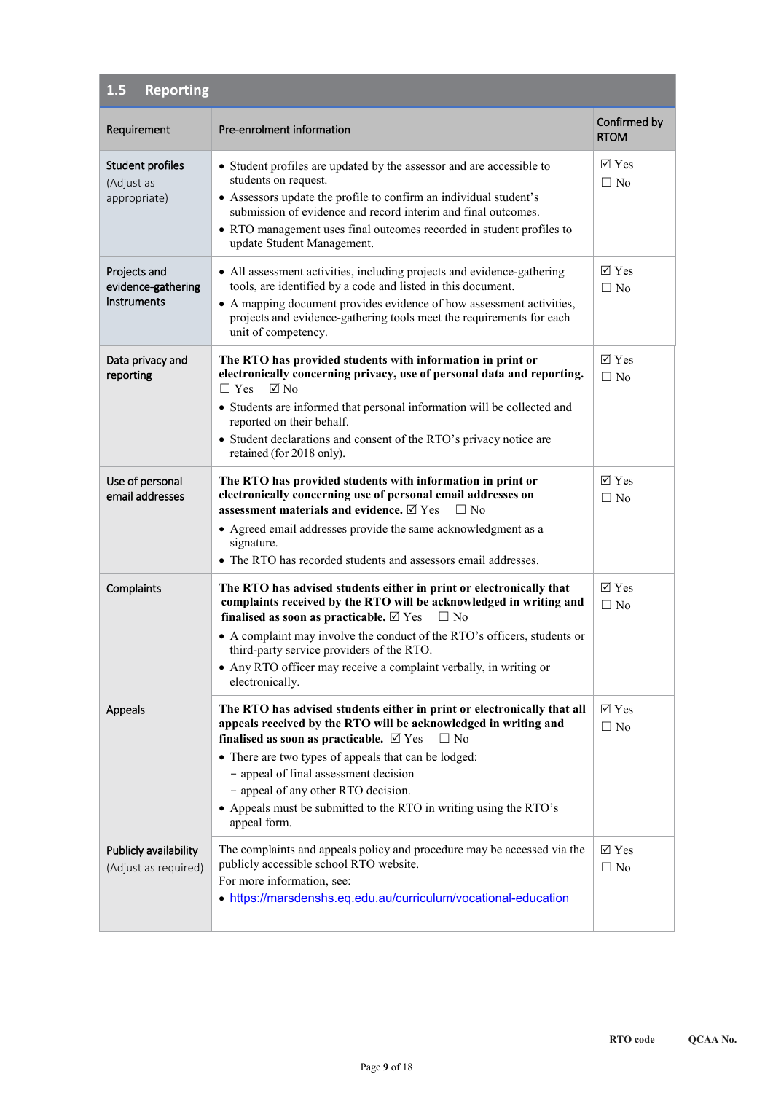| <b>Reporting</b><br>1.5                           |                                                                                                                                                                                                                                                                                                                                                                                                                                           |                              |
|---------------------------------------------------|-------------------------------------------------------------------------------------------------------------------------------------------------------------------------------------------------------------------------------------------------------------------------------------------------------------------------------------------------------------------------------------------------------------------------------------------|------------------------------|
| Requirement                                       | Pre-enrolment information                                                                                                                                                                                                                                                                                                                                                                                                                 | Confirmed by<br><b>RTOM</b>  |
| Student profiles<br>(Adjust as<br>appropriate)    | • Student profiles are updated by the assessor and are accessible to<br>students on request.<br>• Assessors update the profile to confirm an individual student's<br>submission of evidence and record interim and final outcomes.<br>• RTO management uses final outcomes recorded in student profiles to<br>update Student Management.                                                                                                  | $\boxtimes$ Yes<br>$\Box$ No |
| Projects and<br>evidence-gathering<br>instruments | • All assessment activities, including projects and evidence-gathering<br>tools, are identified by a code and listed in this document.<br>• A mapping document provides evidence of how assessment activities,<br>projects and evidence-gathering tools meet the requirements for each<br>unit of competency.                                                                                                                             | $\boxtimes$ Yes<br>$\Box$ No |
| Data privacy and<br>reporting                     | The RTO has provided students with information in print or<br>electronically concerning privacy, use of personal data and reporting.<br>$\Box$ Yes<br>$\boxtimes$ No<br>• Students are informed that personal information will be collected and<br>reported on their behalf.<br>• Student declarations and consent of the RTO's privacy notice are<br>retained (for 2018 only).                                                           | $\boxtimes$ Yes<br>$\Box$ No |
| Use of personal<br>email addresses                | The RTO has provided students with information in print or<br>electronically concerning use of personal email addresses on<br>assessment materials and evidence. $\boxtimes$ Yes<br>$\Box$ No<br>• Agreed email addresses provide the same acknowledgment as a<br>signature.<br>• The RTO has recorded students and assessors email addresses.                                                                                            | $\boxtimes$ Yes<br>$\Box$ No |
| Complaints                                        | The RTO has advised students either in print or electronically that<br>complaints received by the RTO will be acknowledged in writing and<br>finalised as soon as practicable. $\boxtimes$ Yes<br>$\Box$ No<br>• A complaint may involve the conduct of the RTO's officers, students or<br>third-party service providers of the RTO.<br>• Any RTO officer may receive a complaint verbally, in writing or<br>electronically.              | $\boxtimes$ Yes<br>$\Box$ No |
| Appeals                                           | The RTO has advised students either in print or electronically that all<br>appeals received by the RTO will be acknowledged in writing and<br>finalised as soon as practicable. $\boxtimes$ Yes<br>$\Box$ No<br>• There are two types of appeals that can be lodged:<br>- appeal of final assessment decision<br>- appeal of any other RTO decision.<br>• Appeals must be submitted to the RTO in writing using the RTO's<br>appeal form. | $\boxtimes$ Yes<br>$\Box$ No |
| Publicly availability<br>(Adjust as required)     | The complaints and appeals policy and procedure may be accessed via the<br>publicly accessible school RTO website.<br>For more information, see:<br>• https://marsdenshs.eq.edu.au/curriculum/vocational-education                                                                                                                                                                                                                        | $\boxtimes$ Yes<br>$\Box$ No |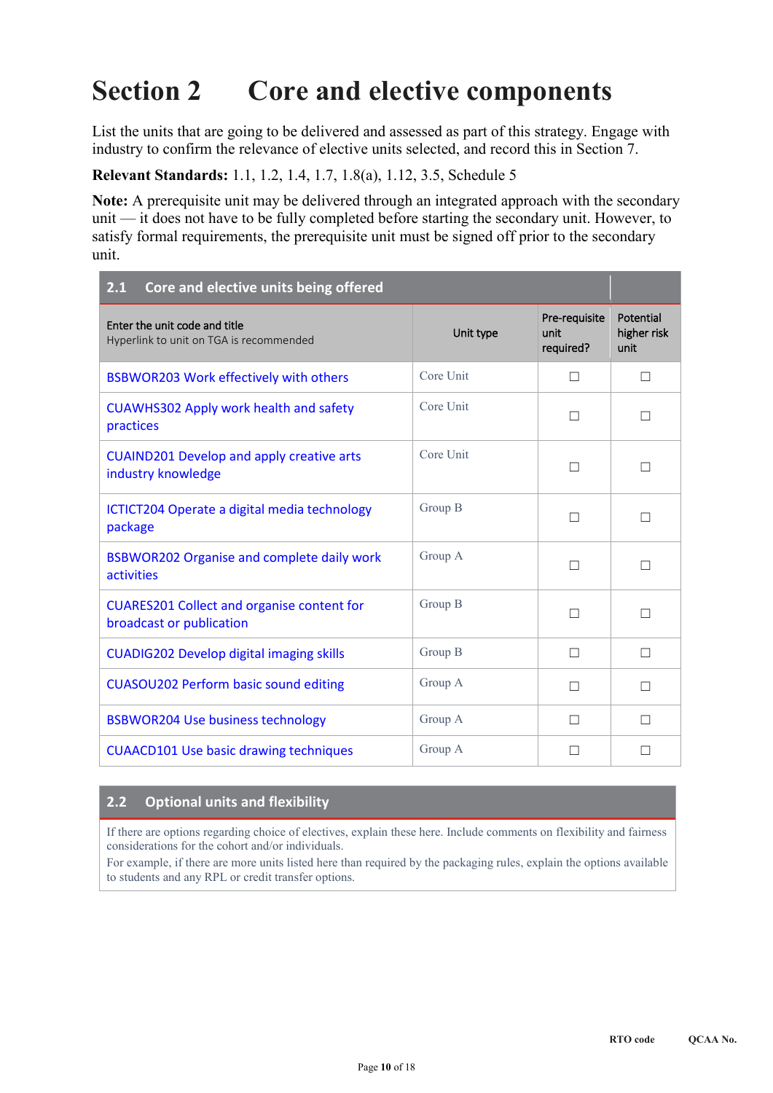## **Section 2 Core and elective components**

List the units that are going to be delivered and assessed as part of this strategy. Engage with industry to confirm the relevance of elective units selected, and record this in Section 7.

**Relevant Standards:** 1.1, 1.2, 1.4, 1.7, 1.8(a), 1.12, 3.5, Schedule 5

**Note:** A prerequisite unit may be delivered through an integrated approach with the secondary unit — it does not have to be fully completed before starting the secondary unit. However, to satisfy formal requirements, the prerequisite unit must be signed off prior to the secondary unit.

| Core and elective units being offered<br>2.1                                  |           |                                    |                                  |
|-------------------------------------------------------------------------------|-----------|------------------------------------|----------------------------------|
| Enter the unit code and title<br>Hyperlink to unit on TGA is recommended      | Unit type | Pre-requisite<br>unit<br>required? | Potential<br>higher risk<br>unit |
| <b>BSBWOR203 Work effectively with others</b>                                 | Core Unit | П                                  | П                                |
| <b>CUAWHS302 Apply work health and safety</b><br>practices                    | Core Unit | П                                  | П                                |
| <b>CUAIND201 Develop and apply creative arts</b><br>industry knowledge        | Core Unit | П                                  | $\mathbf{I}$                     |
| ICTICT204 Operate a digital media technology<br>package                       | Group B   | П                                  | П                                |
| <b>BSBWOR202 Organise and complete daily work</b><br><b>activities</b>        | Group A   | П                                  | П                                |
| <b>CUARES201 Collect and organise content for</b><br>broadcast or publication | Group B   | П                                  | П                                |
| <b>CUADIG202 Develop digital imaging skills</b>                               | Group B   | П                                  | □                                |
| <b>CUASOU202 Perform basic sound editing</b>                                  | Group A   | П                                  | П                                |
| <b>BSBWOR204 Use business technology</b>                                      | Group A   | П                                  | $\Box$                           |
| <b>CUAACD101 Use basic drawing techniques</b>                                 | Group A   |                                    |                                  |

#### **2.2 Optional units and flexibility**

If there are options regarding choice of electives, explain these here. Include comments on flexibility and fairness considerations for the cohort and/or individuals.

For example, if there are more units listed here than required by the packaging rules, explain the options available to students and any RPL or credit transfer options.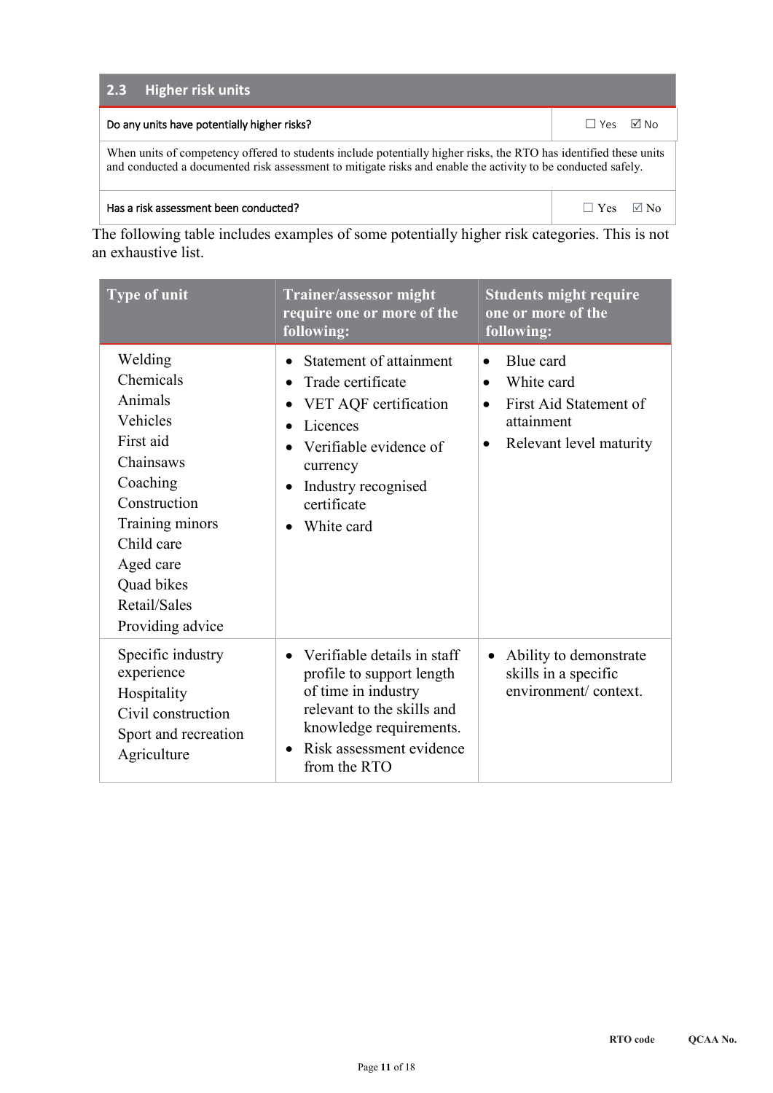| <b>Higher risk units</b><br>2.3                                                                                                                                                                                                   |                     |  |  |  |  |  |  |
|-----------------------------------------------------------------------------------------------------------------------------------------------------------------------------------------------------------------------------------|---------------------|--|--|--|--|--|--|
| Do any units have potentially higher risks?                                                                                                                                                                                       | l⊠ No<br>$\Box$ Yes |  |  |  |  |  |  |
| When units of competency offered to students include potentially higher risks, the RTO has identified these units<br>and conducted a documented risk assessment to mitigate risks and enable the activity to be conducted safely. |                     |  |  |  |  |  |  |
| Has a risk assessment been conducted?                                                                                                                                                                                             | Yes.                |  |  |  |  |  |  |

The following table includes examples of some potentially higher risk categories. This is not an exhaustive list.

| <b>Type of unit</b>                                                                                                                                                                               | Trainer/assessor might<br>require one or more of the<br>following:                                                                                                                                                                                        | <b>Students might require</b><br>one or more of the<br>following:                                                                              |  |  |
|---------------------------------------------------------------------------------------------------------------------------------------------------------------------------------------------------|-----------------------------------------------------------------------------------------------------------------------------------------------------------------------------------------------------------------------------------------------------------|------------------------------------------------------------------------------------------------------------------------------------------------|--|--|
| Welding<br>Chemicals<br>Animals<br>Vehicles<br>First aid<br>Chainsaws<br>Coaching<br>Construction<br>Training minors<br>Child care<br>Aged care<br>Quad bikes<br>Retail/Sales<br>Providing advice | Statement of attainment<br>$\bullet$<br>Trade certificate<br>$\bullet$<br>VET AQF certification<br>$\bullet$<br>Licences<br>Verifiable evidence of<br>$\bullet$<br>currency<br>Industry recognised<br>$\bullet$<br>certificate<br>White card<br>$\bullet$ | Blue card<br>$\bullet$<br>White card<br>$\bullet$<br>First Aid Statement of<br>$\bullet$<br>attainment<br>Relevant level maturity<br>$\bullet$ |  |  |
| Specific industry<br>experience<br>Hospitality<br>Civil construction<br>Sport and recreation<br>Agriculture                                                                                       | Verifiable details in staff<br>$\bullet$<br>profile to support length<br>of time in industry<br>relevant to the skills and<br>knowledge requirements.<br>Risk assessment evidence<br>$\bullet$<br>from the RTO                                            | Ability to demonstrate<br>$\bullet$<br>skills in a specific<br>environment/context.                                                            |  |  |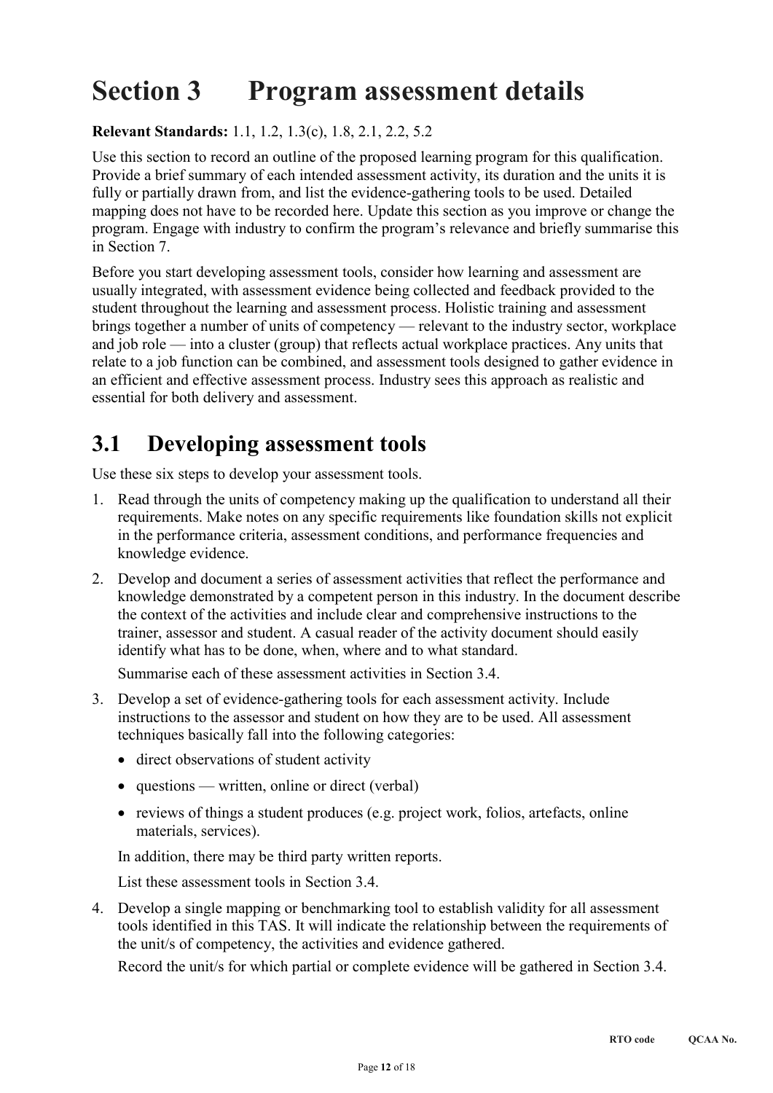# **Section 3 Program assessment details**

#### **Relevant Standards:** 1.1, 1.2, 1.3(c), 1.8, 2.1, 2.2, 5.2

Use this section to record an outline of the proposed learning program for this qualification. Provide a brief summary of each intended assessment activity, its duration and the units it is fully or partially drawn from, and list the evidence-gathering tools to be used. Detailed mapping does not have to be recorded here. Update this section as you improve or change the program. Engage with industry to confirm the program's relevance and briefly summarise this in Section 7.

Before you start developing assessment tools, consider how learning and assessment are usually integrated, with assessment evidence being collected and feedback provided to the student throughout the learning and assessment process. Holistic training and assessment brings together a number of units of competency — relevant to the industry sector, workplace and job role — into a cluster (group) that reflects actual workplace practices. Any units that relate to a job function can be combined, and assessment tools designed to gather evidence in an efficient and effective assessment process. Industry sees this approach as realistic and essential for both delivery and assessment.

## **3.1 Developing assessment tools**

Use these six steps to develop your assessment tools.

- 1. Read through the units of competency making up the qualification to understand all their requirements. Make notes on any specific requirements like foundation skills not explicit in the performance criteria, assessment conditions, and performance frequencies and knowledge evidence.
- 2. Develop and document a series of assessment activities that reflect the performance and knowledge demonstrated by a competent person in this industry. In the document describe the context of the activities and include clear and comprehensive instructions to the trainer, assessor and student. A casual reader of the activity document should easily identify what has to be done, when, where and to what standard.

Summarise each of these assessment activities in Section 3.4.

- 3. Develop a set of evidence-gathering tools for each assessment activity. Include instructions to the assessor and student on how they are to be used. All assessment techniques basically fall into the following categories:
	- direct observations of student activity
	- questions written, online or direct (verbal)
	- reviews of things a student produces (e.g. project work, folios, artefacts, online materials, services).

In addition, there may be third party written reports.

List these assessment tools in Section 3.4.

4. Develop a single mapping or benchmarking tool to establish validity for all assessment tools identified in this TAS. It will indicate the relationship between the requirements of the unit/s of competency, the activities and evidence gathered.

Record the unit/s for which partial or complete evidence will be gathered in Section 3.4.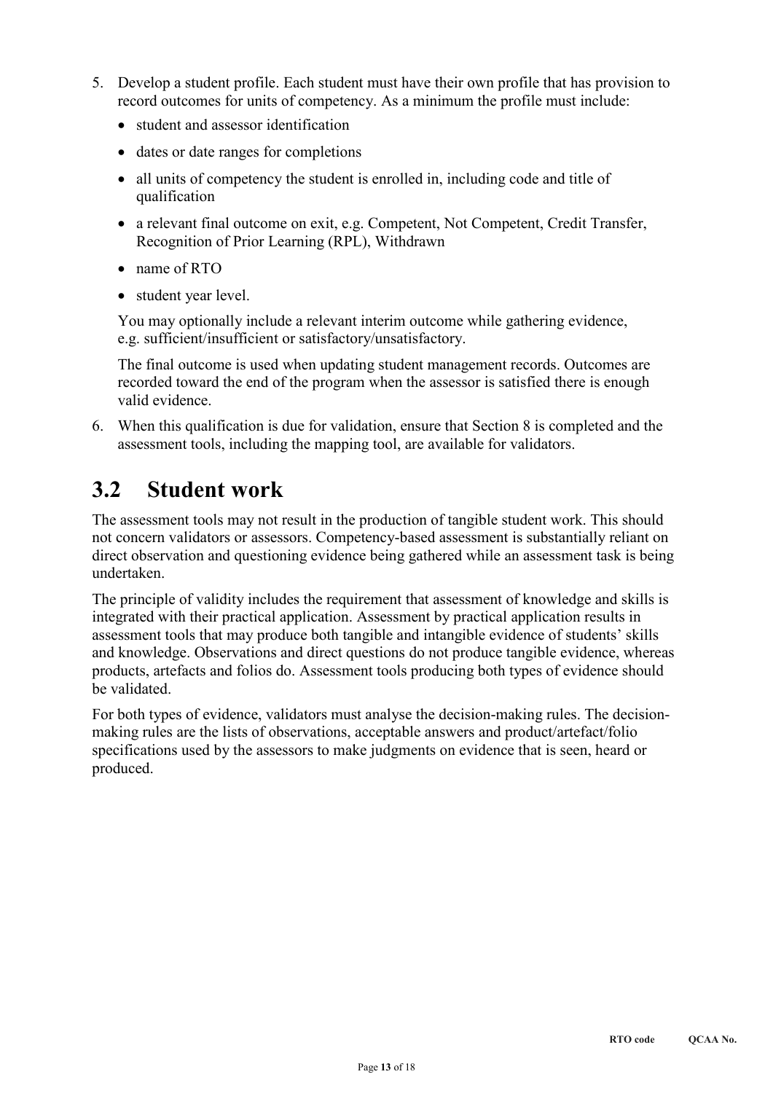- 5. Develop a student profile. Each student must have their own profile that has provision to record outcomes for units of competency. As a minimum the profile must include:
	- student and assessor identification
	- dates or date ranges for completions
	- all units of competency the student is enrolled in, including code and title of qualification
	- a relevant final outcome on exit, e.g. Competent, Not Competent, Credit Transfer, Recognition of Prior Learning (RPL), Withdrawn
	- name of RTO
	- student year level.

You may optionally include a relevant interim outcome while gathering evidence, e.g. sufficient/insufficient or satisfactory/unsatisfactory.

The final outcome is used when updating student management records. Outcomes are recorded toward the end of the program when the assessor is satisfied there is enough valid evidence.

6. When this qualification is due for validation, ensure that Section 8 is completed and the assessment tools, including the mapping tool, are available for validators.

## **3.2 Student work**

The assessment tools may not result in the production of tangible student work. This should not concern validators or assessors. Competency-based assessment is substantially reliant on direct observation and questioning evidence being gathered while an assessment task is being undertaken.

The principle of validity includes the requirement that assessment of knowledge and skills is integrated with their practical application. Assessment by practical application results in assessment tools that may produce both tangible and intangible evidence of students' skills and knowledge. Observations and direct questions do not produce tangible evidence, whereas products, artefacts and folios do. Assessment tools producing both types of evidence should be validated.

For both types of evidence, validators must analyse the decision-making rules. The decisionmaking rules are the lists of observations, acceptable answers and product/artefact/folio specifications used by the assessors to make judgments on evidence that is seen, heard or produced.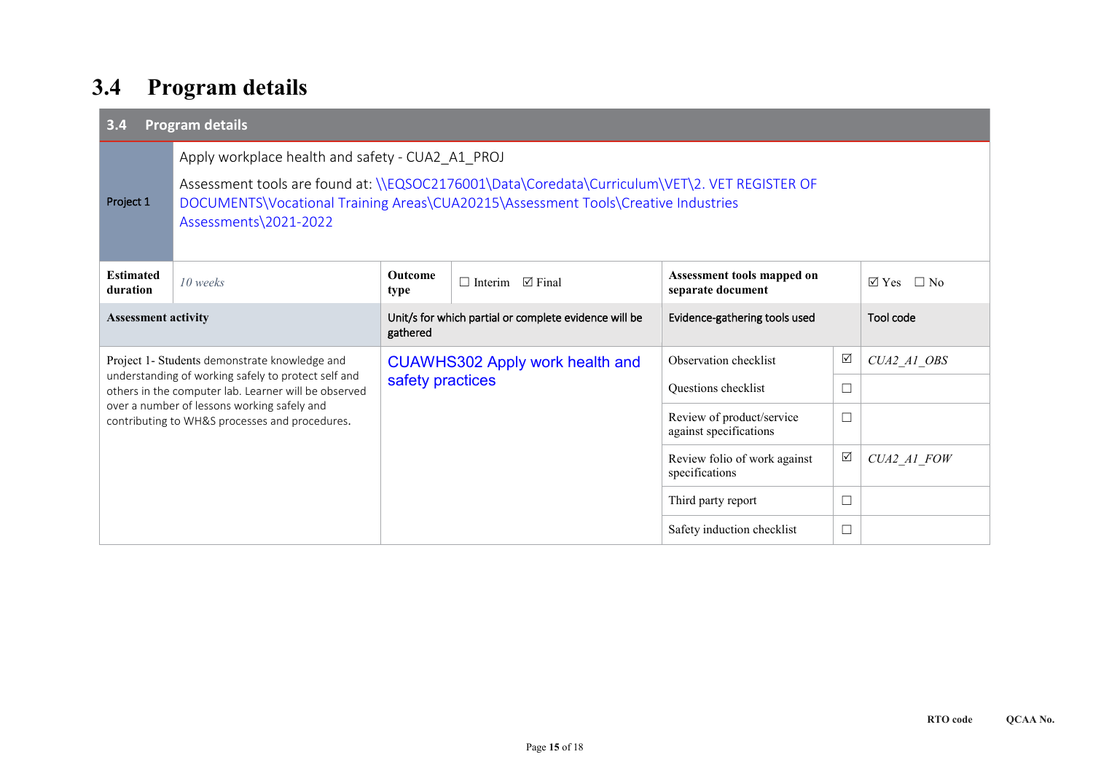## **3.4 Program details**

| <b>Program details</b><br>3.4                                                                 |                                                                                                                                                                                                                                                                 |                                                                   |                                                                                                                       |                                                     |                 |             |  |  |
|-----------------------------------------------------------------------------------------------|-----------------------------------------------------------------------------------------------------------------------------------------------------------------------------------------------------------------------------------------------------------------|-------------------------------------------------------------------|-----------------------------------------------------------------------------------------------------------------------|-----------------------------------------------------|-----------------|-------------|--|--|
| Project 1                                                                                     | Apply workplace health and safety - CUA2 A1 PROJ<br>Assessment tools are found at: \\EQSOC2176001\Data\Coredata\Curriculum\VET\2. VET REGISTER OF<br>DOCUMENTS\Vocational Training Areas\CUA20215\Assessment Tools\Creative Industries<br>Assessments\2021-2022 |                                                                   |                                                                                                                       |                                                     |                 |             |  |  |
| <b>Estimated</b><br>duration                                                                  | 10 weeks                                                                                                                                                                                                                                                        | <b>Outcome</b><br>type                                            | Assessment tools mapped on<br>$\Box$ Interim<br>$\sqrt{ }$ Final<br>$\boxtimes$ Yes<br>$\Box$ No<br>separate document |                                                     |                 |             |  |  |
| <b>Assessment activity</b>                                                                    |                                                                                                                                                                                                                                                                 | Unit/s for which partial or complete evidence will be<br>gathered |                                                                                                                       | Evidence-gathering tools used                       |                 | Tool code   |  |  |
| Project 1- Students demonstrate knowledge and                                                 |                                                                                                                                                                                                                                                                 | <b>CUAWHS302 Apply work health and</b>                            |                                                                                                                       | Observation checklist                               | $\sqrt{ }$      | CUA2 A1 OBS |  |  |
|                                                                                               | understanding of working safely to protect self and<br>others in the computer lab. Learner will be observed                                                                                                                                                     | safety practices                                                  |                                                                                                                       | Questions checklist                                 | $\Box$          |             |  |  |
| over a number of lessons working safely and<br>contributing to WH&S processes and procedures. |                                                                                                                                                                                                                                                                 |                                                                   |                                                                                                                       | Review of product/service<br>against specifications | $\Box$          |             |  |  |
|                                                                                               |                                                                                                                                                                                                                                                                 |                                                                   |                                                                                                                       | Review folio of work against<br>specifications      | $\triangledown$ | CUA2 A1 FOW |  |  |
|                                                                                               |                                                                                                                                                                                                                                                                 |                                                                   |                                                                                                                       | Third party report                                  | $\Box$          |             |  |  |
|                                                                                               |                                                                                                                                                                                                                                                                 | Safety induction checklist                                        | $\Box$                                                                                                                |                                                     |                 |             |  |  |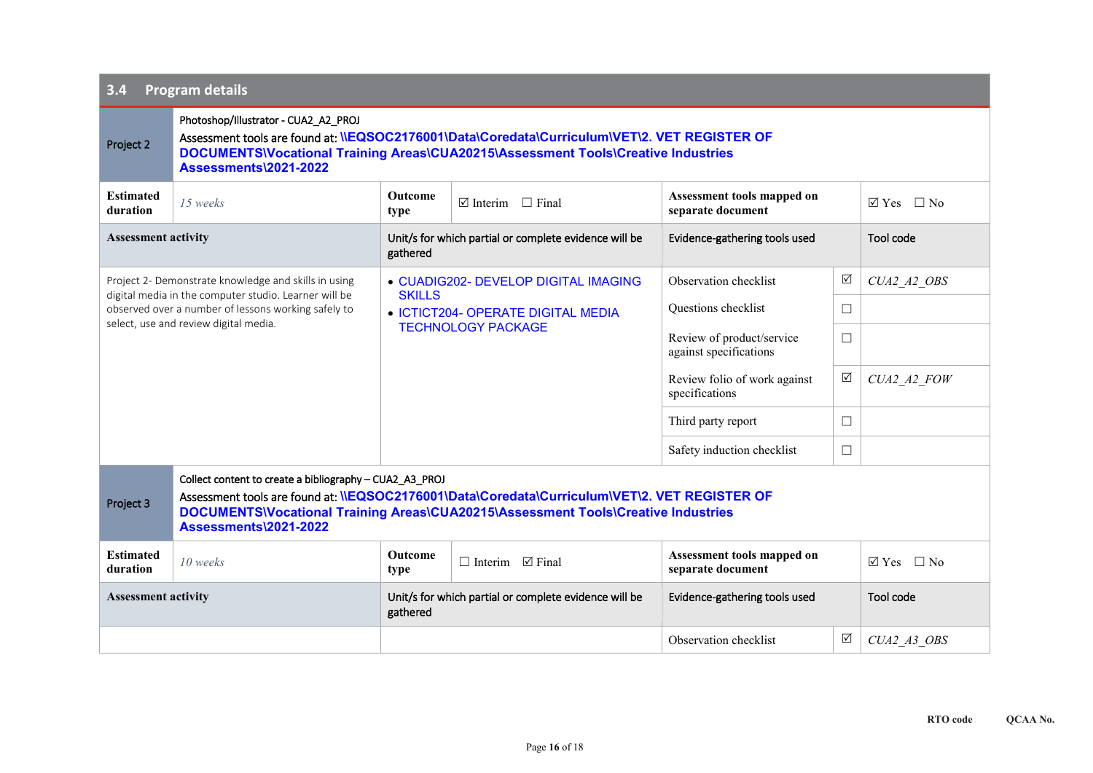| <b>Program details</b><br>3.4                                                                                                                                                                                 |                                                                                                                                                                                                                                                                        |                                                                                                                          |                                     |                                                     |                 |                              |  |  |
|---------------------------------------------------------------------------------------------------------------------------------------------------------------------------------------------------------------|------------------------------------------------------------------------------------------------------------------------------------------------------------------------------------------------------------------------------------------------------------------------|--------------------------------------------------------------------------------------------------------------------------|-------------------------------------|-----------------------------------------------------|-----------------|------------------------------|--|--|
| Project 2                                                                                                                                                                                                     | Photoshop/Illustrator - CUA2_A2_PROJ<br>Assessment tools are found at: <i>\\EQSOC2176001\Data\Coredata\Curriculum\VET\2</i> . VET REGISTER OF<br>DOCUMENTS\Vocational Training Areas\CUA20215\Assessment Tools\Creative Industries<br>Assessments\2021-2022            |                                                                                                                          |                                     |                                                     |                 |                              |  |  |
| <b>Estimated</b><br>duration                                                                                                                                                                                  | 15 weeks                                                                                                                                                                                                                                                               | Outcome<br>type                                                                                                          | $\boxtimes$ Interim<br>$\Box$ Final | Assessment tools mapped on<br>separate document     |                 | $\Box$ No<br>$\boxtimes$ Yes |  |  |
| <b>Assessment activity</b>                                                                                                                                                                                    |                                                                                                                                                                                                                                                                        | Unit/s for which partial or complete evidence will be<br>gathered                                                        |                                     | Evidence-gathering tools used                       |                 | Tool code                    |  |  |
| Project 2- Demonstrate knowledge and skills in using<br>digital media in the computer studio. Learner will be<br>observed over a number of lessons working safely to<br>select, use and review digital media. |                                                                                                                                                                                                                                                                        | • CUADIG202- DEVELOP DIGITAL IMAGING<br><b>SKILLS</b><br>• ICTICT204- OPERATE DIGITAL MEDIA<br><b>TECHNOLOGY PACKAGE</b> |                                     | Observation checklist                               | $\triangledown$ | CUA2 A2 OBS                  |  |  |
|                                                                                                                                                                                                               |                                                                                                                                                                                                                                                                        |                                                                                                                          |                                     | Questions checklist                                 | $\Box$          |                              |  |  |
|                                                                                                                                                                                                               |                                                                                                                                                                                                                                                                        |                                                                                                                          |                                     | Review of product/service<br>against specifications | $\Box$          |                              |  |  |
|                                                                                                                                                                                                               |                                                                                                                                                                                                                                                                        |                                                                                                                          |                                     | Review folio of work against<br>specifications      | ☑               | CUA2 A2 FOW                  |  |  |
|                                                                                                                                                                                                               |                                                                                                                                                                                                                                                                        |                                                                                                                          |                                     | Third party report                                  | $\Box$          |                              |  |  |
|                                                                                                                                                                                                               |                                                                                                                                                                                                                                                                        |                                                                                                                          |                                     | Safety induction checklist                          | $\Box$          |                              |  |  |
| Project 3                                                                                                                                                                                                     | Collect content to create a bibliography - CUA2_A3_PROJ<br>Assessment tools are found at: \\EQSOC2176001\Data\Coredata\Curriculum\VET\2. VET REGISTER OF<br>DOCUMENTS\Vocational Training Areas\CUA20215\Assessment Tools\Creative Industries<br>Assessments\2021-2022 |                                                                                                                          |                                     |                                                     |                 |                              |  |  |
| <b>Estimated</b><br>duration                                                                                                                                                                                  | 10 weeks                                                                                                                                                                                                                                                               | <b>Outcome</b><br>type                                                                                                   | $\Box$ Interim $\Box$ Final         | Assessment tools mapped on<br>separate document     |                 | $\boxtimes$ Yes $\Box$ No    |  |  |
| <b>Assessment activity</b>                                                                                                                                                                                    |                                                                                                                                                                                                                                                                        | Unit/s for which partial or complete evidence will be<br>gathered                                                        |                                     | Evidence-gathering tools used                       |                 | Tool code                    |  |  |
|                                                                                                                                                                                                               |                                                                                                                                                                                                                                                                        |                                                                                                                          |                                     | Observation checklist                               | ☑               | CUA2 A3 OBS                  |  |  |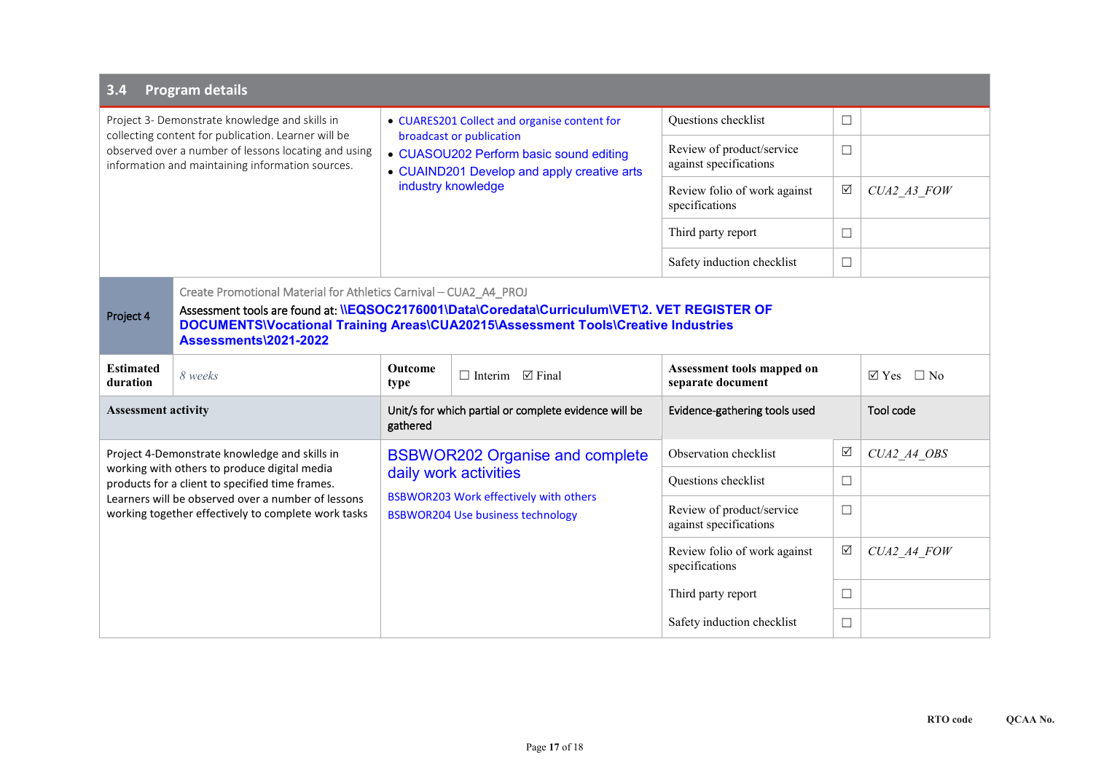| <b>Program details</b><br>3.4                                                                                                                                                                                     |                                                                                                                                                                                                                                                                                          |                                                                                                                                                                                          |  |                                                     |                 |                                  |  |  |  |
|-------------------------------------------------------------------------------------------------------------------------------------------------------------------------------------------------------------------|------------------------------------------------------------------------------------------------------------------------------------------------------------------------------------------------------------------------------------------------------------------------------------------|------------------------------------------------------------------------------------------------------------------------------------------------------------------------------------------|--|-----------------------------------------------------|-----------------|----------------------------------|--|--|--|
| Project 3- Demonstrate knowledge and skills in<br>collecting content for publication. Learner will be<br>observed over a number of lessons locating and using<br>information and maintaining information sources. |                                                                                                                                                                                                                                                                                          | • CUARES201 Collect and organise content for<br>broadcast or publication<br>• CUASOU202 Perform basic sound editing<br>• CUAIND201 Develop and apply creative arts<br>industry knowledge |  | Questions checklist                                 | $\Box$          |                                  |  |  |  |
|                                                                                                                                                                                                                   |                                                                                                                                                                                                                                                                                          |                                                                                                                                                                                          |  | Review of product/service<br>against specifications | $\Box$          |                                  |  |  |  |
|                                                                                                                                                                                                                   |                                                                                                                                                                                                                                                                                          |                                                                                                                                                                                          |  | Review folio of work against<br>specifications      | $\triangledown$ | CUA2 A3 FOW                      |  |  |  |
|                                                                                                                                                                                                                   |                                                                                                                                                                                                                                                                                          |                                                                                                                                                                                          |  | Third party report                                  | $\Box$          |                                  |  |  |  |
|                                                                                                                                                                                                                   |                                                                                                                                                                                                                                                                                          |                                                                                                                                                                                          |  | Safety induction checklist                          | $\Box$          |                                  |  |  |  |
| Project 4                                                                                                                                                                                                         | Create Promotional Material for Athletics Carnival - CUA2_A4_PROJ<br>Assessment tools are found at: <i>\\EQSOC2176001\Data\Coredata\Curriculum\VET\2</i> . VET REGISTER OF<br>DOCUMENTS\Vocational Training Areas\CUA20215\Assessment Tools\Creative Industries<br>Assessments\2021-2022 |                                                                                                                                                                                          |  |                                                     |                 |                                  |  |  |  |
| <b>Estimated</b><br>duration                                                                                                                                                                                      | 8 weeks                                                                                                                                                                                                                                                                                  | <b>Outcome</b><br>$\Box$ Interim<br>$\boxtimes$ Final<br>type                                                                                                                            |  | Assessment tools mapped on<br>separate document     |                 | $\triangledown$ Yes<br>$\Box$ No |  |  |  |
| <b>Assessment activity</b>                                                                                                                                                                                        |                                                                                                                                                                                                                                                                                          | Unit/s for which partial or complete evidence will be<br>gathered                                                                                                                        |  | Evidence-gathering tools used                       |                 | Tool code                        |  |  |  |
|                                                                                                                                                                                                                   | Project 4-Demonstrate knowledge and skills in                                                                                                                                                                                                                                            | <b>BSBWOR202 Organise and complete</b><br>daily work activities                                                                                                                          |  | Observation checklist                               | ☑               | CUA2 A4 OBS                      |  |  |  |
|                                                                                                                                                                                                                   | working with others to produce digital media<br>products for a client to specified time frames.                                                                                                                                                                                          |                                                                                                                                                                                          |  | Questions checklist                                 | $\Box$          |                                  |  |  |  |
| Learners will be observed over a number of lessons<br>working together effectively to complete work tasks                                                                                                         |                                                                                                                                                                                                                                                                                          | <b>BSBWOR203 Work effectively with others</b><br><b>BSBWOR204 Use business technology</b>                                                                                                |  | Review of product/service<br>against specifications | $\Box$          |                                  |  |  |  |
|                                                                                                                                                                                                                   |                                                                                                                                                                                                                                                                                          |                                                                                                                                                                                          |  | Review folio of work against<br>specifications      | ☑               | CUA2 A4 FOW                      |  |  |  |
|                                                                                                                                                                                                                   |                                                                                                                                                                                                                                                                                          |                                                                                                                                                                                          |  | Third party report                                  | $\Box$          |                                  |  |  |  |
|                                                                                                                                                                                                                   |                                                                                                                                                                                                                                                                                          |                                                                                                                                                                                          |  | Safety induction checklist                          | $\Box$          |                                  |  |  |  |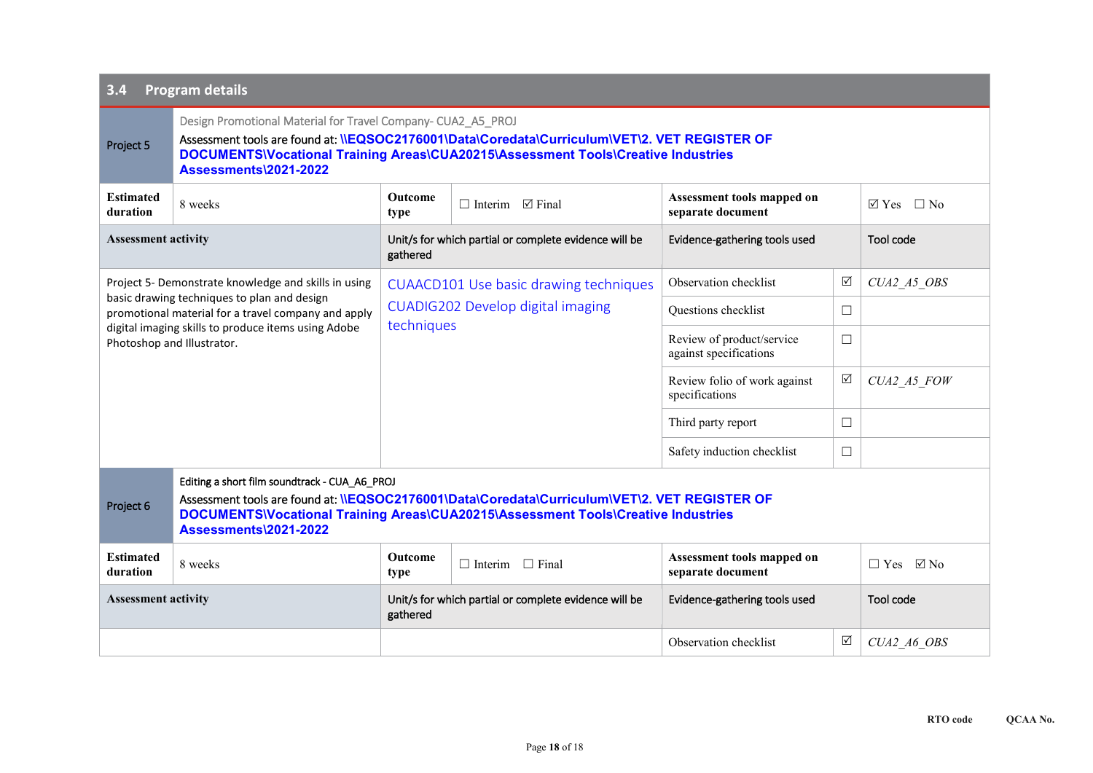| <b>Program details</b><br>3.4                                                     |                                                                                                                                                                                                                                                                                     |                                                                                           |                             |                                                     |          |                                  |  |  |
|-----------------------------------------------------------------------------------|-------------------------------------------------------------------------------------------------------------------------------------------------------------------------------------------------------------------------------------------------------------------------------------|-------------------------------------------------------------------------------------------|-----------------------------|-----------------------------------------------------|----------|----------------------------------|--|--|
| Project 5                                                                         | Design Promotional Material for Travel Company- CUA2 A5 PROJ<br>Assessment tools are found at: <i>\\EQSOC2176001\Data\Coredata\Curriculum\VET\2</i> . VET REGISTER OF<br>DOCUMENTS\Vocational Training Areas\CUA20215\Assessment Tools\Creative Industries<br>Assessments\2021-2022 |                                                                                           |                             |                                                     |          |                                  |  |  |
| <b>Estimated</b><br>duration                                                      | 8 weeks                                                                                                                                                                                                                                                                             | <b>Outcome</b><br>type                                                                    | $\Box$ Interim $\Box$ Final | Assessment tools mapped on<br>separate document     |          | $\triangledown$ Yes<br>$\Box$ No |  |  |
| <b>Assessment activity</b>                                                        |                                                                                                                                                                                                                                                                                     | Unit/s for which partial or complete evidence will be<br>gathered                         |                             | Evidence-gathering tools used                       |          | Tool code                        |  |  |
|                                                                                   | Project 5- Demonstrate knowledge and skills in using                                                                                                                                                                                                                                | <b>CUAACD101 Use basic drawing techniques</b><br><b>CUADIG202 Develop digital imaging</b> |                             | Observation checklist                               | $\Delta$ | CUA2 A5 OBS                      |  |  |
|                                                                                   | basic drawing techniques to plan and design<br>promotional material for a travel company and apply                                                                                                                                                                                  |                                                                                           |                             | Questions checklist                                 | $\Box$   |                                  |  |  |
| digital imaging skills to produce items using Adobe<br>Photoshop and Illustrator. |                                                                                                                                                                                                                                                                                     | techniques                                                                                |                             | Review of product/service<br>against specifications | $\Box$   |                                  |  |  |
|                                                                                   |                                                                                                                                                                                                                                                                                     |                                                                                           |                             | Review folio of work against<br>specifications      | ☑        | CUA2 A5 FOW                      |  |  |
|                                                                                   |                                                                                                                                                                                                                                                                                     |                                                                                           |                             | Third party report                                  | $\Box$   |                                  |  |  |
|                                                                                   |                                                                                                                                                                                                                                                                                     |                                                                                           |                             | Safety induction checklist                          | $\Box$   |                                  |  |  |
| Project 6                                                                         | Editing a short film soundtrack - CUA_A6_PROJ<br>Assessment tools are found at: \\EQSOC2176001\Data\Coredata\Curriculum\VET\2. VET REGISTER OF<br>DOCUMENTS\Vocational Training Areas\CUA20215\Assessment Tools\Creative Industries<br>Assessments\2021-2022                        |                                                                                           |                             |                                                     |          |                                  |  |  |
| <b>Estimated</b><br>duration                                                      | 8 weeks                                                                                                                                                                                                                                                                             | Outcome<br>type                                                                           | $\Box$ Interim $\Box$ Final | Assessment tools mapped on<br>separate document     |          | $\boxtimes$ No<br>$\Box$ Yes     |  |  |
| <b>Assessment activity</b>                                                        |                                                                                                                                                                                                                                                                                     | Unit/s for which partial or complete evidence will be<br>gathered                         |                             | Evidence-gathering tools used                       |          | Tool code                        |  |  |
|                                                                                   |                                                                                                                                                                                                                                                                                     |                                                                                           |                             | Observation checklist                               | ☑        | CUA2 A6 OBS                      |  |  |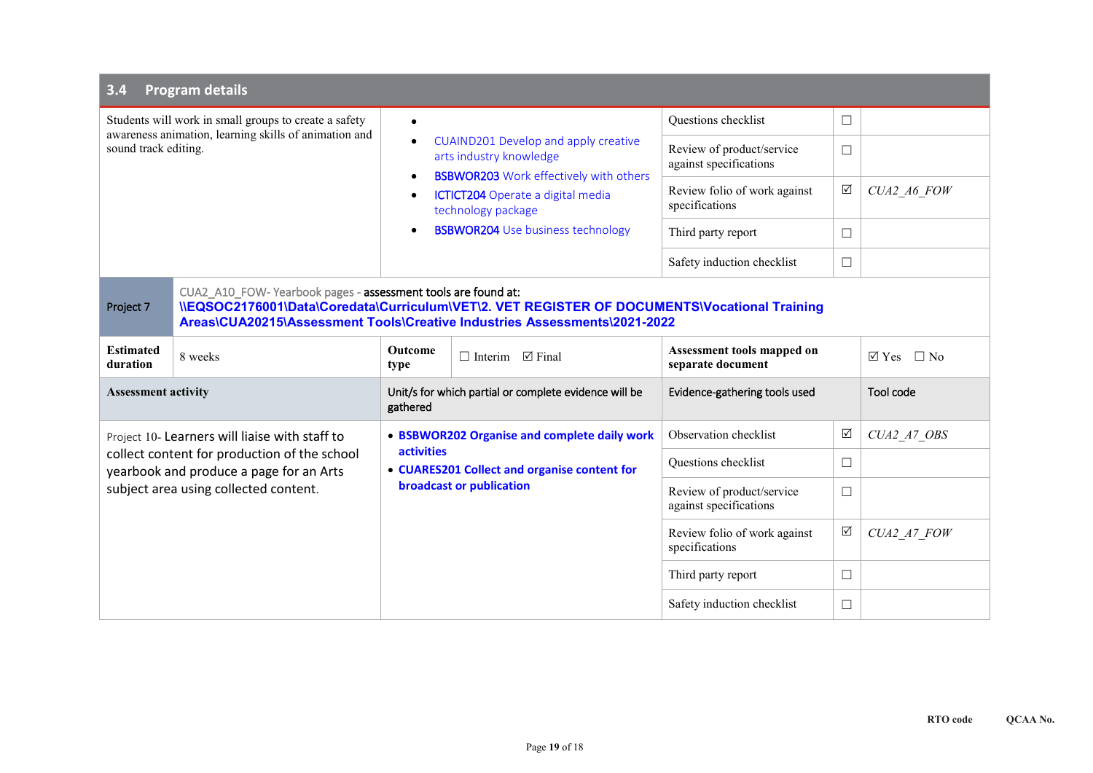| <b>Program details</b><br>3.4                                                                                                          |                                                                                                                                                                                                                                           |                                                                                                                                                                                                                                                                                         |  |                                                     |            |                              |  |  |
|----------------------------------------------------------------------------------------------------------------------------------------|-------------------------------------------------------------------------------------------------------------------------------------------------------------------------------------------------------------------------------------------|-----------------------------------------------------------------------------------------------------------------------------------------------------------------------------------------------------------------------------------------------------------------------------------------|--|-----------------------------------------------------|------------|------------------------------|--|--|
| Students will work in small groups to create a safety<br>awareness animation, learning skills of animation and<br>sound track editing. |                                                                                                                                                                                                                                           | $\bullet$<br>CUAIND201 Develop and apply creative<br>$\bullet$<br>arts industry knowledge<br><b>BSBWOR203</b> Work effectively with others<br>٠<br><b>ICTICT204</b> Operate a digital media<br>$\bullet$<br>technology package<br><b>BSBWOR204</b> Use business technology<br>$\bullet$ |  | <b>Ouestions</b> checklist                          | $\Box$     |                              |  |  |
|                                                                                                                                        |                                                                                                                                                                                                                                           |                                                                                                                                                                                                                                                                                         |  | Review of product/service<br>against specifications | $\Box$     |                              |  |  |
|                                                                                                                                        |                                                                                                                                                                                                                                           |                                                                                                                                                                                                                                                                                         |  | Review folio of work against<br>specifications      | $\sqrt{ }$ | CUA2 A6 FOW                  |  |  |
|                                                                                                                                        |                                                                                                                                                                                                                                           |                                                                                                                                                                                                                                                                                         |  | Third party report                                  | □          |                              |  |  |
|                                                                                                                                        |                                                                                                                                                                                                                                           |                                                                                                                                                                                                                                                                                         |  | Safety induction checklist                          | $\Box$     |                              |  |  |
| Project 7                                                                                                                              | CUA2_A10_FOW-Yearbook pages - assessment tools are found at:<br>ILEQSOC2176001\Data\Coredata\Curriculum\VET\2. VET REGISTER OF DOCUMENTS\Vocational Training<br>Areas\CUA20215\Assessment Tools\Creative Industries Assessments\2021-2022 |                                                                                                                                                                                                                                                                                         |  |                                                     |            |                              |  |  |
| <b>Estimated</b><br>duration                                                                                                           | 8 weeks                                                                                                                                                                                                                                   | <b>Outcome</b><br>$\boxtimes$ Final<br>$\Box$ Interim<br>type                                                                                                                                                                                                                           |  | Assessment tools mapped on<br>separate document     |            | $\boxtimes$ Yes<br>$\Box$ No |  |  |
| <b>Assessment activity</b>                                                                                                             |                                                                                                                                                                                                                                           | Unit/s for which partial or complete evidence will be<br>gathered                                                                                                                                                                                                                       |  | Evidence-gathering tools used                       |            | Tool code                    |  |  |
|                                                                                                                                        | Project 10- Learners will liaise with staff to                                                                                                                                                                                            | • BSBWOR202 Organise and complete daily work<br><b>activities</b><br>• CUARES201 Collect and organise content for<br>broadcast or publication                                                                                                                                           |  | Observation checklist                               | $\Delta$   | CUA2 A7 OBS                  |  |  |
|                                                                                                                                        | collect content for production of the school<br>yearbook and produce a page for an Arts                                                                                                                                                   |                                                                                                                                                                                                                                                                                         |  | Questions checklist                                 | □          |                              |  |  |
|                                                                                                                                        | subject area using collected content.                                                                                                                                                                                                     |                                                                                                                                                                                                                                                                                         |  | Review of product/service<br>against specifications | □          |                              |  |  |
|                                                                                                                                        |                                                                                                                                                                                                                                           |                                                                                                                                                                                                                                                                                         |  | Review folio of work against<br>specifications      | ☑          | CUA2 A7 FOW                  |  |  |
|                                                                                                                                        |                                                                                                                                                                                                                                           |                                                                                                                                                                                                                                                                                         |  | Third party report                                  | $\Box$     |                              |  |  |
|                                                                                                                                        |                                                                                                                                                                                                                                           |                                                                                                                                                                                                                                                                                         |  | Safety induction checklist                          | $\Box$     |                              |  |  |